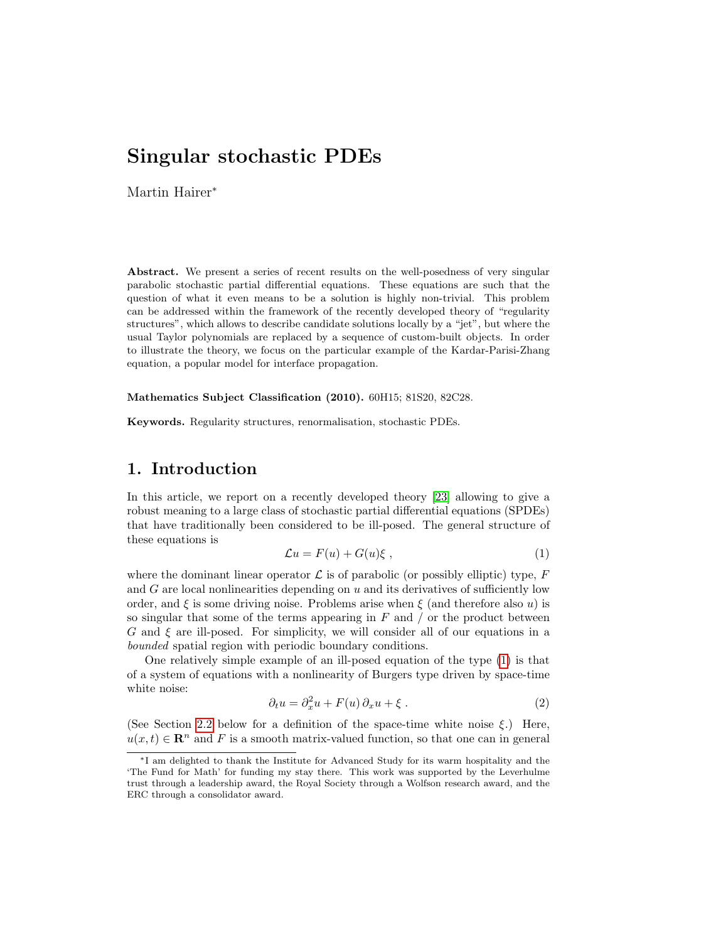Martin Hairer<sup>∗</sup>

Abstract. We present a series of recent results on the well-posedness of very singular parabolic stochastic partial differential equations. These equations are such that the question of what it even means to be a solution is highly non-trivial. This problem can be addressed within the framework of the recently developed theory of "regularity structures", which allows to describe candidate solutions locally by a "jet", but where the usual Taylor polynomials are replaced by a sequence of custom-built objects. In order to illustrate the theory, we focus on the particular example of the Kardar-Parisi-Zhang equation, a popular model for interface propagation.

Mathematics Subject Classification (2010). 60H15; 81S20, 82C28.

Keywords. Regularity structures, renormalisation, stochastic PDEs.

## 1. Introduction

In this article, we report on a recently developed theory [\[23\]](#page-25-0) allowing to give a robust meaning to a large class of stochastic partial differential equations (SPDEs) that have traditionally been considered to be ill-posed. The general structure of these equations is

<span id="page-0-0"></span>
$$
\mathcal{L}u = F(u) + G(u)\xi , \qquad (1)
$$

where the dominant linear operator  $\mathcal L$  is of parabolic (or possibly elliptic) type, F and  $G$  are local nonlinearities depending on  $u$  and its derivatives of sufficiently low order, and  $\xi$  is some driving noise. Problems arise when  $\xi$  (and therefore also u) is so singular that some of the terms appearing in  $F$  and  $\prime$  or the product between  $G$  and  $\xi$  are ill-posed. For simplicity, we will consider all of our equations in a bounded spatial region with periodic boundary conditions.

One relatively simple example of an ill-posed equation of the type [\(1\)](#page-0-0) is that of a system of equations with a nonlinearity of Burgers type driven by space-time white noise:

<span id="page-0-1"></span>
$$
\partial_t u = \partial_x^2 u + F(u)\,\partial_x u + \xi\,. \tag{2}
$$

(See Section [2.2](#page-4-0) below for a definition of the space-time white noise  $\xi$ .) Here,  $u(x, t) \in \mathbb{R}^n$  and F is a smooth matrix-valued function, so that one can in general

<sup>∗</sup>I am delighted to thank the Institute for Advanced Study for its warm hospitality and the 'The Fund for Math' for funding my stay there. This work was supported by the Leverhulme trust through a leadership award, the Royal Society through a Wolfson research award, and the ERC through a consolidator award.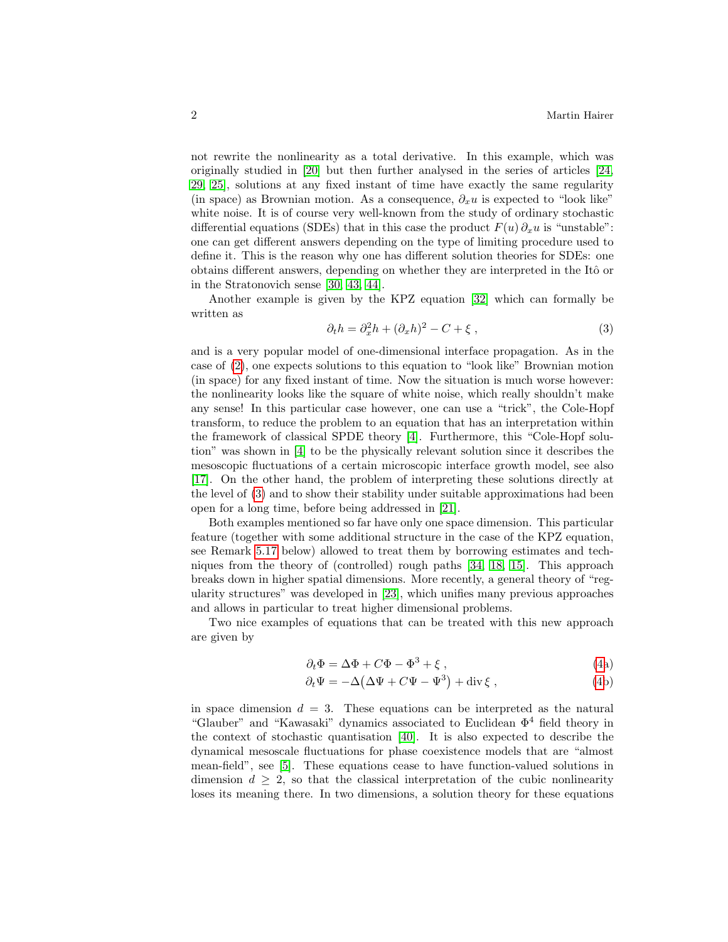not rewrite the nonlinearity as a total derivative. In this example, which was originally studied in [\[20\]](#page-25-1) but then further analysed in the series of articles [\[24,](#page-26-0) [29,](#page-26-1) [25\]](#page-26-2), solutions at any fixed instant of time have exactly the same regularity (in space) as Brownian motion. As a consequence,  $\partial_x u$  is expected to "look like" white noise. It is of course very well-known from the study of ordinary stochastic differential equations (SDEs) that in this case the product  $F(u)\partial_x u$  is "unstable": one can get different answers depending on the type of limiting procedure used to define it. This is the reason why one has different solution theories for SDEs: one obtains different answers, depending on whether they are interpreted in the Itô or in the Stratonovich sense [\[30,](#page-26-3) [43,](#page-26-4) [44\]](#page-26-5).

Another example is given by the KPZ equation [\[32\]](#page-26-6) which can formally be written as

<span id="page-1-0"></span>
$$
\partial_t h = \partial_x^2 h + (\partial_x h)^2 - C + \xi \,, \tag{3}
$$

and is a very popular model of one-dimensional interface propagation. As in the case of [\(2\)](#page-0-1), one expects solutions to this equation to "look like" Brownian motion (in space) for any fixed instant of time. Now the situation is much worse however: the nonlinearity looks like the square of white noise, which really shouldn't make any sense! In this particular case however, one can use a "trick", the Cole-Hopf transform, to reduce the problem to an equation that has an interpretation within the framework of classical SPDE theory [\[4\]](#page-25-2). Furthermore, this "Cole-Hopf solution" was shown in [\[4\]](#page-25-2) to be the physically relevant solution since it describes the mesoscopic fluctuations of a certain microscopic interface growth model, see also [\[17\]](#page-25-3). On the other hand, the problem of interpreting these solutions directly at the level of [\(3\)](#page-1-0) and to show their stability under suitable approximations had been open for a long time, before being addressed in [\[21\]](#page-25-4).

Both examples mentioned so far have only one space dimension. This particular feature (together with some additional structure in the case of the KPZ equation, see Remark [5.17](#page-24-0) below) allowed to treat them by borrowing estimates and techniques from the theory of (controlled) rough paths [\[34,](#page-26-7) [18,](#page-25-5) [15\]](#page-25-6). This approach breaks down in higher spatial dimensions. More recently, a general theory of "regularity structures" was developed in [\[23\]](#page-25-0), which unifies many previous approaches and allows in particular to treat higher dimensional problems.

Two nice examples of equations that can be treated with this new approach are given by

<span id="page-1-1"></span>
$$
\partial_t \Phi = \Delta \Phi + C\Phi - \Phi^3 + \xi \,, \tag{4a}
$$

$$
\partial_t \Psi = -\Delta \left( \Delta \Psi + C\Psi - \Psi^3 \right) + \text{div}\,\xi \,, \tag{4b}
$$

in space dimension  $d = 3$ . These equations can be interpreted as the natural "Glauber" and "Kawasaki" dynamics associated to Euclidean  $\Phi^4$  field theory in the context of stochastic quantisation [\[40\]](#page-26-8). It is also expected to describe the dynamical mesoscale fluctuations for phase coexistence models that are "almost mean-field", see [\[5\]](#page-25-7). These equations cease to have function-valued solutions in dimension  $d \geq 2$ , so that the classical interpretation of the cubic nonlinearity loses its meaning there. In two dimensions, a solution theory for these equations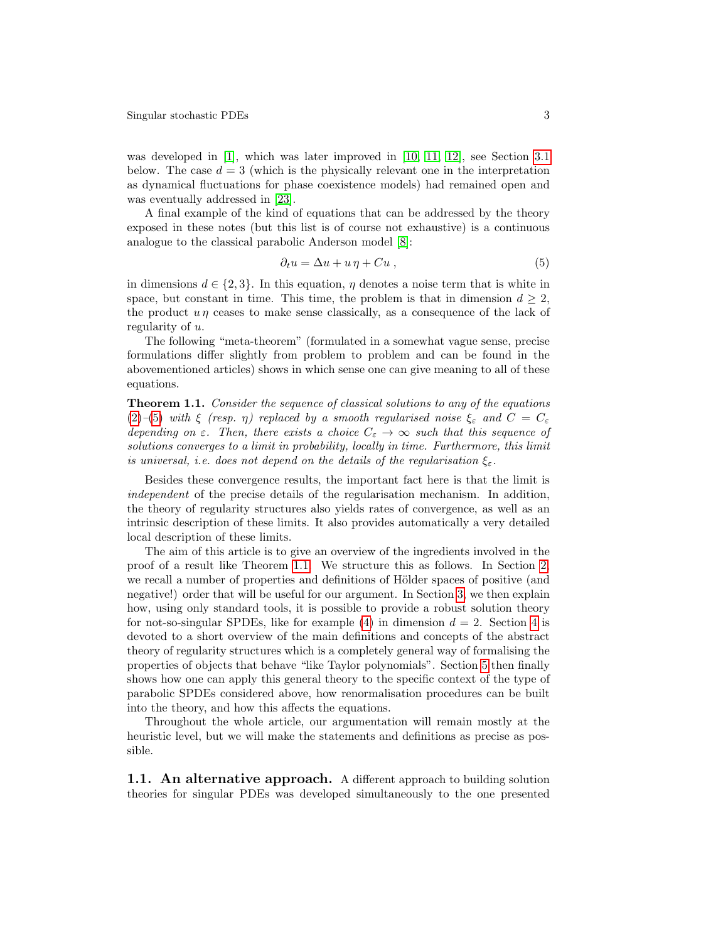was developed in [\[1\]](#page-24-1), which was later improved in [\[10,](#page-25-8) [11,](#page-25-9) [12\]](#page-25-10), see Section [3.1](#page-7-0) below. The case  $d = 3$  (which is the physically relevant one in the interpretation as dynamical fluctuations for phase coexistence models) had remained open and was eventually addressed in [\[23\]](#page-25-0).

A final example of the kind of equations that can be addressed by the theory exposed in these notes (but this list is of course not exhaustive) is a continuous analogue to the classical parabolic Anderson model [\[8\]](#page-25-11):

<span id="page-2-0"></span>
$$
\partial_t u = \Delta u + u \eta + Cu \,, \tag{5}
$$

in dimensions  $d \in \{2, 3\}$ . In this equation,  $\eta$  denotes a noise term that is white in space, but constant in time. This time, the problem is that in dimension  $d \geq 2$ , the product  $u\eta$  ceases to make sense classically, as a consequence of the lack of regularity of u.

The following "meta-theorem" (formulated in a somewhat vague sense, precise formulations differ slightly from problem to problem and can be found in the abovementioned articles) shows in which sense one can give meaning to all of these equations.

<span id="page-2-1"></span>**Theorem 1.1.** Consider the sequence of classical solutions to any of the equations [\(2\)](#page-0-1)–[\(5\)](#page-2-0) with  $\xi$  (resp.  $\eta$ ) replaced by a smooth regularised noise  $\xi_{\varepsilon}$  and  $C = C_{\varepsilon}$ depending on  $\varepsilon$ . Then, there exists a choice  $C_{\varepsilon} \to \infty$  such that this sequence of solutions converges to a limit in probability, locally in time. Furthermore, this limit is universal, i.e. does not depend on the details of the regularisation  $\xi_{\varepsilon}$ .

Besides these convergence results, the important fact here is that the limit is independent of the precise details of the regularisation mechanism. In addition, the theory of regularity structures also yields rates of convergence, as well as an intrinsic description of these limits. It also provides automatically a very detailed local description of these limits.

The aim of this article is to give an overview of the ingredients involved in the proof of a result like Theorem [1.1.](#page-2-1) We structure this as follows. In Section [2,](#page-3-0) we recall a number of properties and definitions of Hölder spaces of positive (and negative!) order that will be useful for our argument. In Section [3,](#page-6-0) we then explain how, using only standard tools, it is possible to provide a robust solution theory for not-so-singular SPDEs, like for example [\(4\)](#page-1-1) in dimension  $d = 2$ . Section [4](#page-9-0) is devoted to a short overview of the main definitions and concepts of the abstract theory of regularity structures which is a completely general way of formalising the properties of objects that behave "like Taylor polynomials". Section [5](#page-15-0) then finally shows how one can apply this general theory to the specific context of the type of parabolic SPDEs considered above, how renormalisation procedures can be built into the theory, and how this affects the equations.

Throughout the whole article, our argumentation will remain mostly at the heuristic level, but we will make the statements and definitions as precise as possible.

<span id="page-2-2"></span>1.1. An alternative approach. A different approach to building solution theories for singular PDEs was developed simultaneously to the one presented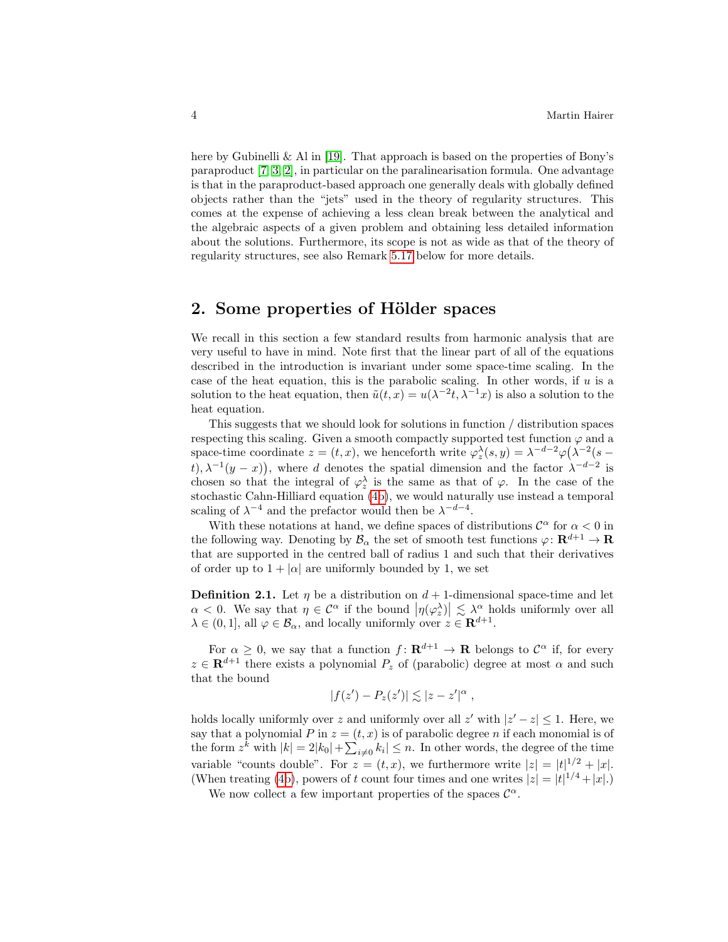here by Gubinelli & Al in [\[19\]](#page-25-12). That approach is based on the properties of Bony's paraproduct [\[7,](#page-25-13) [3,](#page-25-14) [2\]](#page-24-2), in particular on the paralinearisation formula. One advantage is that in the paraproduct-based approach one generally deals with globally defined objects rather than the "jets" used in the theory of regularity structures. This comes at the expense of achieving a less clean break between the analytical and the algebraic aspects of a given problem and obtaining less detailed information about the solutions. Furthermore, its scope is not as wide as that of the theory of regularity structures, see also Remark [5.17](#page-24-0) below for more details.

## <span id="page-3-0"></span>2. Some properties of Hölder spaces

We recall in this section a few standard results from harmonic analysis that are very useful to have in mind. Note first that the linear part of all of the equations described in the introduction is invariant under some space-time scaling. In the case of the heat equation, this is the parabolic scaling. In other words, if  $u$  is a solution to the heat equation, then  $\tilde{u}(t,x) = u(\lambda^{-2}t, \lambda^{-1}x)$  is also a solution to the heat equation.

This suggests that we should look for solutions in function / distribution spaces respecting this scaling. Given a smooth compactly supported test function  $\varphi$  and a space-time coordinate  $z = (t, x)$ , we henceforth write  $\varphi_z^{\lambda}(s, y) = \lambda^{-d-2} \varphi(\lambda^{-2}(s$ t),  $\lambda^{-1}(y-x)$ , where d denotes the spatial dimension and the factor  $\lambda^{-d-2}$  is chosen so that the integral of  $\varphi_z^{\lambda}$  is the same as that of  $\varphi$ . In the case of the stochastic Cahn-Hilliard equation [\(4b\)](#page-1-1), we would naturally use instead a temporal scaling of  $\lambda^{-4}$  and the prefactor would then be  $\lambda^{-d-4}$ .

With these notations at hand, we define spaces of distributions  $\mathcal{C}^{\alpha}$  for  $\alpha < 0$  in the following way. Denoting by  $\mathcal{B}_{\alpha}$  the set of smooth test functions  $\varphi \colon \mathbf{R}^{d+1} \to \mathbf{R}$ that are supported in the centred ball of radius 1 and such that their derivatives of order up to  $1 + |\alpha|$  are uniformly bounded by 1, we set

**Definition 2.1.** Let  $\eta$  be a distribution on  $d+1$ -dimensional space-time and let  $\alpha < 0$ . We say that  $\eta \in \mathcal{C}^{\alpha}$  if the bound  $|\eta(\varphi_z^{\lambda})| \lesssim \lambda^{\alpha}$  holds uniformly over all  $\lambda \in (0,1],$  all  $\varphi \in \mathcal{B}_{\alpha}$ , and locally uniformly over  $z \in \mathbf{R}^{d+1}$ .

For  $\alpha \geq 0$ , we say that a function  $f: \mathbf{R}^{d+1} \to \mathbf{R}$  belongs to  $\mathcal{C}^{\alpha}$  if, for every  $z \in \mathbf{R}^{d+1}$  there exists a polynomial  $P_z$  of (parabolic) degree at most  $\alpha$  and such that the bound

$$
|f(z') - P_z(z')| \lesssim |z - z'|^{\alpha} ,
$$

holds locally uniformly over z and uniformly over all z' with  $|z'-z| \leq 1$ . Here, we say that a polynomial P in  $z = (t, x)$  is of parabolic degree n if each monomial is of the form  $z^k$  with  $|k| = 2|k_0| + \sum_{i \neq 0} k_i| \leq n$ . In other words, the degree of the time variable "counts double". For  $z = (t, x)$ , we furthermore write  $|z| = |t|^{1/2} + |x|$ . (When treating [\(4b\)](#page-1-1), powers of t count four times and one writes  $|z| = |t|^{1/4} + |x|$ .)

We now collect a few important properties of the spaces  $\mathcal{C}^{\alpha}$ .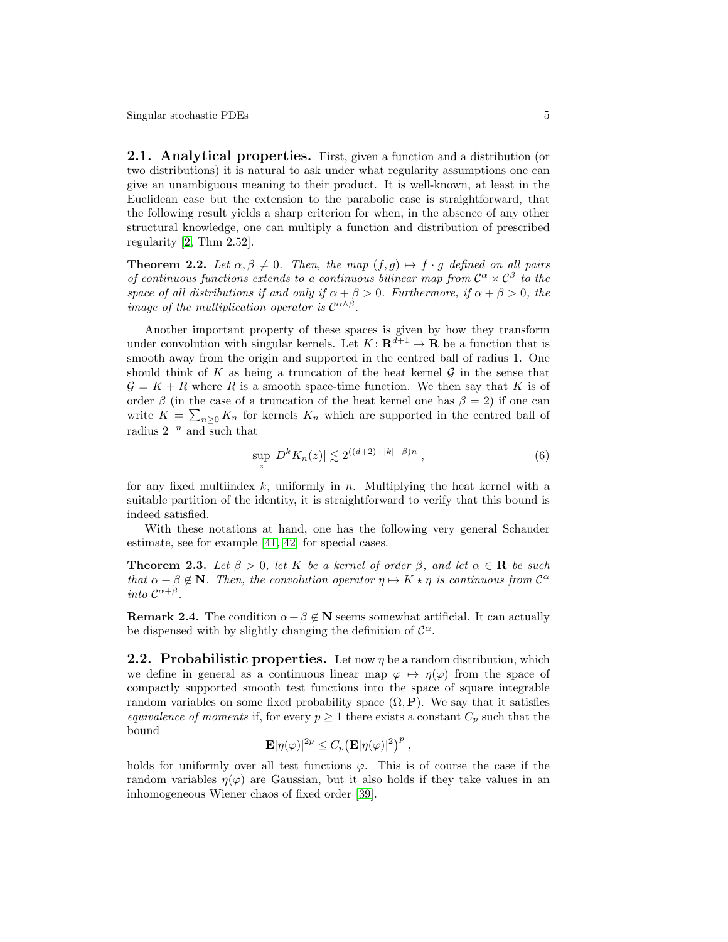2.1. Analytical properties. First, given a function and a distribution (or two distributions) it is natural to ask under what regularity assumptions one can give an unambiguous meaning to their product. It is well-known, at least in the Euclidean case but the extension to the parabolic case is straightforward, that the following result yields a sharp criterion for when, in the absence of any other structural knowledge, one can multiply a function and distribution of prescribed regularity [\[2,](#page-24-2) Thm 2.52].

<span id="page-4-2"></span>**Theorem 2.2.** Let  $\alpha, \beta \neq 0$ . Then, the map  $(f, g) \mapsto f \cdot g$  defined on all pairs of continuous functions extends to a continuous bilinear map from  $C^{\alpha} \times C^{\beta}$  to the space of all distributions if and only if  $\alpha + \beta > 0$ . Furthermore, if  $\alpha + \beta > 0$ , the image of the multiplication operator is  $\mathcal{C}^{\alpha \wedge \beta}$ .

Another important property of these spaces is given by how they transform under convolution with singular kernels. Let  $K: \mathbf{R}^{d+1} \to \mathbf{R}$  be a function that is smooth away from the origin and supported in the centred ball of radius 1. One should think of K as being a truncation of the heat kernel  $\mathcal G$  in the sense that  $\mathcal{G} = K + R$  where R is a smooth space-time function. We then say that K is of order  $\beta$  (in the case of a truncation of the heat kernel one has  $\beta = 2$ ) if one can write  $K = \sum_{n\geq 0} K_n$  for kernels  $K_n$  which are supported in the centred ball of radius  $2^{-n}$  and such that

<span id="page-4-3"></span>
$$
\sup_{z} |D^{k} K_{n}(z)| \lesssim 2^{((d+2) + |k| - \beta)n}, \qquad (6)
$$

for any fixed multiindex k, uniformly in n. Multiplying the heat kernel with a suitable partition of the identity, it is straightforward to verify that this bound is indeed satisfied.

With these notations at hand, one has the following very general Schauder estimate, see for example [\[41,](#page-26-9) [42\]](#page-26-10) for special cases.

<span id="page-4-1"></span>**Theorem 2.3.** Let  $\beta > 0$ , let K be a kernel of order  $\beta$ , and let  $\alpha \in \mathbf{R}$  be such that  $\alpha + \beta \notin \mathbb{N}$ . Then, the convolution operator  $\eta \mapsto K \star \eta$  is continuous from  $\mathcal{C}^{\alpha}$ into  $\mathcal{C}^{\alpha+\beta}$ .

**Remark 2.4.** The condition  $\alpha + \beta \notin \mathbb{N}$  seems somewhat artificial. It can actually be dispensed with by slightly changing the definition of  $\mathcal{C}^{\alpha}$ .

<span id="page-4-0"></span>**2.2. Probabilistic properties.** Let now  $\eta$  be a random distribution, which we define in general as a continuous linear map  $\varphi \mapsto \eta(\varphi)$  from the space of compactly supported smooth test functions into the space of square integrable random variables on some fixed probability space  $(\Omega, \mathbf{P})$ . We say that it satisfies equivalence of moments if, for every  $p \geq 1$  there exists a constant  $C_p$  such that the bound

$$
\mathbf{E}|\eta(\varphi)|^{2p} \leq C_p \big(\mathbf{E}|\eta(\varphi)|^2\big)^p,
$$

holds for uniformly over all test functions  $\varphi$ . This is of course the case if the random variables  $\eta(\varphi)$  are Gaussian, but it also holds if they take values in an inhomogeneous Wiener chaos of fixed order [\[39\]](#page-26-11).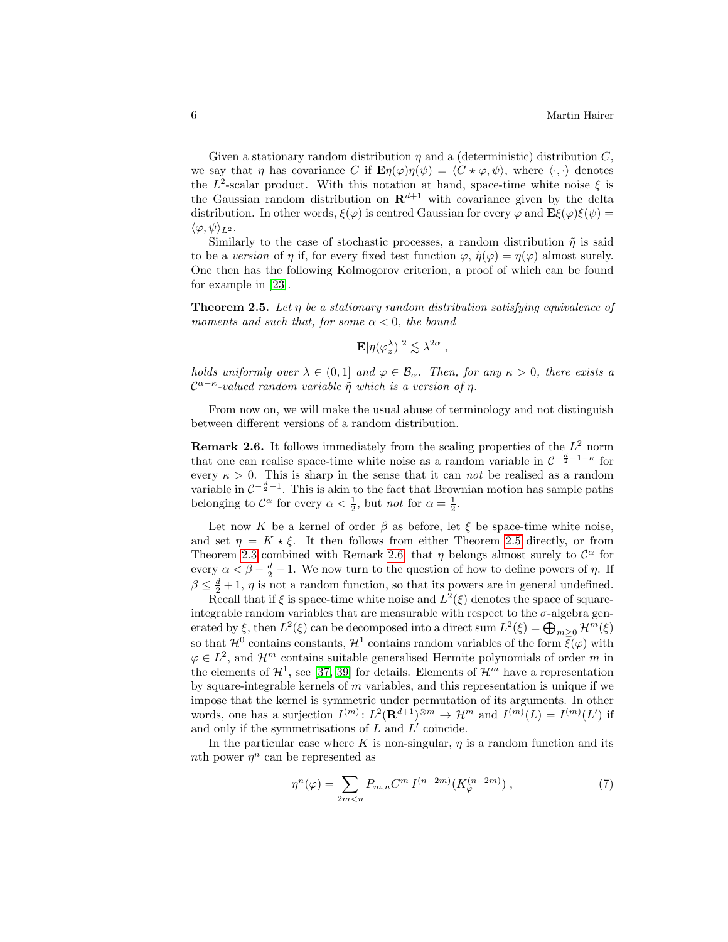Given a stationary random distribution  $\eta$  and a (deterministic) distribution C, we say that  $\eta$  has covariance C if  $\mathbf{E}\eta(\varphi)\eta(\psi) = \langle C \star \varphi, \psi \rangle$ , where  $\langle \cdot, \cdot \rangle$  denotes the  $L^2$ -scalar product. With this notation at hand, space-time white noise  $\xi$  is the Gaussian random distribution on  $\mathbf{R}^{d+1}$  with covariance given by the delta distribution. In other words,  $\xi(\varphi)$  is centred Gaussian for every  $\varphi$  and  $\mathbf{E}\xi(\varphi)\xi(\psi)$  =  $\langle \varphi, \psi \rangle_{L^2}$ .

Similarly to the case of stochastic processes, a random distribution  $\tilde{\eta}$  is said to be a version of  $\eta$  if, for every fixed test function  $\varphi$ ,  $\tilde{\eta}(\varphi) = \eta(\varphi)$  almost surely. One then has the following Kolmogorov criterion, a proof of which can be found for example in [\[23\]](#page-25-0).

<span id="page-5-0"></span>**Theorem 2.5.** Let  $\eta$  be a stationary random distribution satisfying equivalence of moments and such that, for some  $\alpha < 0$ , the bound

$$
\mathbf{E} |\eta(\varphi_z^{\lambda})|^2 \lesssim \lambda^{2\alpha} ,
$$

holds uniformly over  $\lambda \in (0,1]$  and  $\varphi \in \mathcal{B}_{\alpha}$ . Then, for any  $\kappa > 0$ , there exists a  $\mathcal{C}^{\alpha-\kappa}$ -valued random variable  $\tilde{\eta}$  which is a version of  $\eta$ .

From now on, we will make the usual abuse of terminology and not distinguish between different versions of a random distribution.

<span id="page-5-1"></span>**Remark 2.6.** It follows immediately from the scaling properties of the  $L^2$  norm that one can realise space-time white noise as a random variable in  $C^{-\frac{d}{2}-1-\kappa}$  for every  $\kappa > 0$ . This is sharp in the sense that it can not be realised as a random variable in  $\mathcal{C}^{-\frac{d}{2}-1}$ . This is akin to the fact that Brownian motion has sample paths belonging to  $\mathcal{C}^{\alpha}$  for every  $\alpha < \frac{1}{2}$ , but *not* for  $\alpha = \frac{1}{2}$ .

Let now K be a kernel of order  $\beta$  as before, let  $\xi$  be space-time white noise, and set  $\eta = K \star \xi$ . It then follows from either Theorem [2.5](#page-5-0) directly, or from Theorem [2.3](#page-4-1) combined with Remark [2.6,](#page-5-1) that  $\eta$  belongs almost surely to  $\mathcal{C}^{\alpha}$  for every  $\alpha < \beta - \frac{d}{2} - 1$ . We now turn to the question of how to define powers of  $\eta$ . If  $\beta \leq \frac{d}{2} + 1$ ,  $\eta$  is not a random function, so that its powers are in general undefined.

Recall that if  $\xi$  is space-time white noise and  $L^2(\xi)$  denotes the space of squareintegrable random variables that are measurable with respect to the  $\sigma$ -algebra generated by  $\xi$ , then  $L^2(\xi)$  can be decomposed into a direct sum  $L^2(\xi) = \bigoplus_{m \geq 0} \mathcal{H}^m(\xi)$ so that  $\mathcal{H}^0$  contains constants,  $\mathcal{H}^1$  contains random variables of the form  $\bar{\xi}(\varphi)$  with  $\varphi \in L^2$ , and  $\mathcal{H}^m$  contains suitable generalised Hermite polynomials of order m in the elements of  $\mathcal{H}^1$ , see [\[37,](#page-26-12) [39\]](#page-26-11) for details. Elements of  $\mathcal{H}^m$  have a representation by square-integrable kernels of  $m$  variables, and this representation is unique if we impose that the kernel is symmetric under permutation of its arguments. In other words, one has a surjection  $I^{(m)}: L^2(\mathbf{R}^{d+1})^{\otimes m} \to \mathcal{H}^m$  and  $I^{(m)}(L) = I^{(m)}(L')$  if and only if the symmetrisations of  $L$  and  $L'$  coincide.

In the particular case where K is non-singular,  $\eta$  is a random function and its nth power  $\eta^n$  can be represented as

<span id="page-5-2"></span>
$$
\eta^{n}(\varphi) = \sum_{2m < n} P_{m,n} C^{m} I^{(n-2m)}(K_{\varphi}^{(n-2m)}) \,, \tag{7}
$$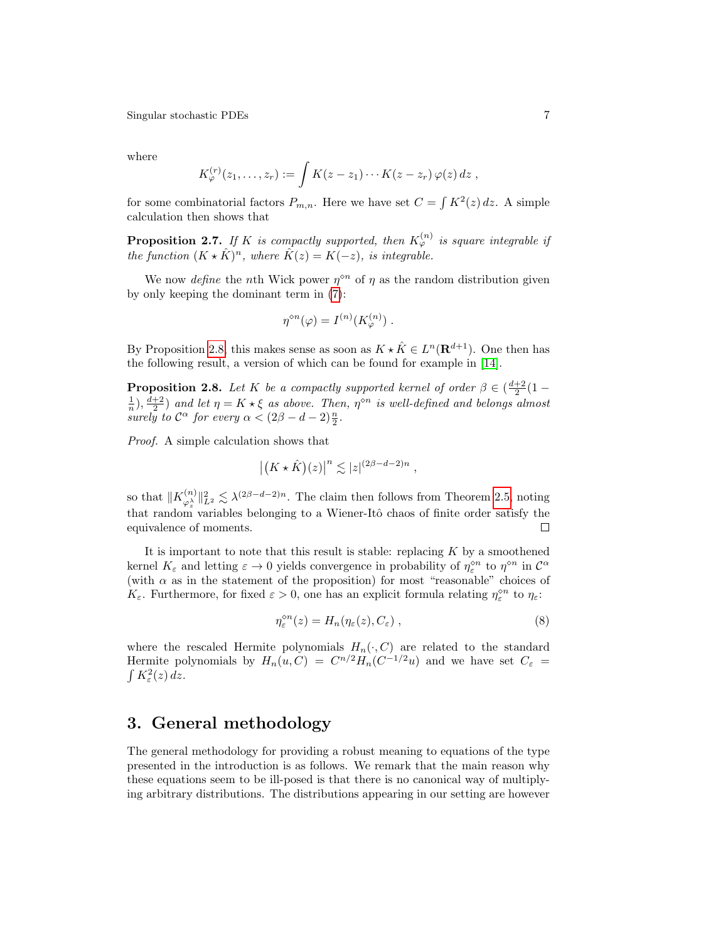where

$$
K_{\varphi}^{(r)}(z_1,\ldots,z_r) := \int K(z-z_1)\cdots K(z-z_r) \varphi(z) dz ,
$$

for some combinatorial factors  $P_{m,n}$ . Here we have set  $C = \int K^2(z) dz$ . A simple calculation then shows that

**Proposition 2.7.** If K is compactly supported, then  $K_{\varphi}^{(n)}$  is square integrable if the function  $(K \star \hat{K})^n$ , where  $\hat{K}(z) = K(-z)$ , is integrable.

We now define the nth Wick power  $\eta^{\diamond n}$  of  $\eta$  as the random distribution given by only keeping the dominant term in [\(7\)](#page-5-2):

$$
\eta^{\diamond n}(\varphi) = I^{(n)}(K_{\varphi}^{(n)}) \ .
$$

By Proposition [2.8,](#page-6-1) this makes sense as soon as  $K \star \hat{K} \in L^{n}(\mathbf{R}^{d+1})$ . One then has the following result, a version of which can be found for example in [\[14\]](#page-25-15).

<span id="page-6-1"></span>**Proposition 2.8.** Let K be a compactly supported kernel of order  $\beta \in \left(\frac{d+2}{2}(1-\alpha)\right)$  $\frac{1}{n}$ ,  $\frac{d+2}{2}$  and let  $\eta = K \star \xi$  as above. Then,  $\eta^{\diamond n}$  is well-defined and belongs almost surely to  $\mathcal{C}^{\alpha}$  for every  $\alpha < (2\beta - d - 2)\frac{n}{2}$ .

Proof. A simple calculation shows that

$$
\left| \left( K \star \hat{K} \right) (z) \right|^n \lesssim |z|^{(2\beta - d - 2)n},
$$

so that  $\|K_{\alpha\lambda}^{(n)}\|$  $\|\psi^{(n)}_{\alpha}\|_{L^2}^2 \lesssim \lambda^{(2\beta-d-2)n}$ . The claim then follows from Theorem [2.5,](#page-5-0) noting that random variables belonging to a Wiener-Itô chaos of finite order satisfy the equivalence of moments.  $\Box$ 

It is important to note that this result is stable: replacing  $K$  by a smoothened kernel  $K_{\varepsilon}$  and letting  $\varepsilon \to 0$  yields convergence in probability of  $\eta_{\varepsilon}^{\otimes n}$  to  $\eta^{\otimes n}$  in  $\mathcal{C}^{\alpha}$ (with  $\alpha$  as in the statement of the proposition) for most "reasonable" choices of  $K_{\varepsilon}$ . Furthermore, for fixed  $\varepsilon > 0$ , one has an explicit formula relating  $\eta_{\varepsilon}^{\diamond n}$  to  $\eta_{\varepsilon}$ :

<span id="page-6-2"></span>
$$
\eta_{\varepsilon}^{\diamond n}(z) = H_n(\eta_{\varepsilon}(z), C_{\varepsilon}), \qquad (8)
$$

where the rescaled Hermite polynomials  $H_n(\cdot, C)$  are related to the standard Hermite polynomials by  $H_n(u, C) = C^{n/2} H_n(C^{-1/2}u)$  and we have set  $C_{\varepsilon}$  =  $\int K^2_{\varepsilon}(z)\,dz.$ 

## <span id="page-6-0"></span>3. General methodology

The general methodology for providing a robust meaning to equations of the type presented in the introduction is as follows. We remark that the main reason why these equations seem to be ill-posed is that there is no canonical way of multiplying arbitrary distributions. The distributions appearing in our setting are however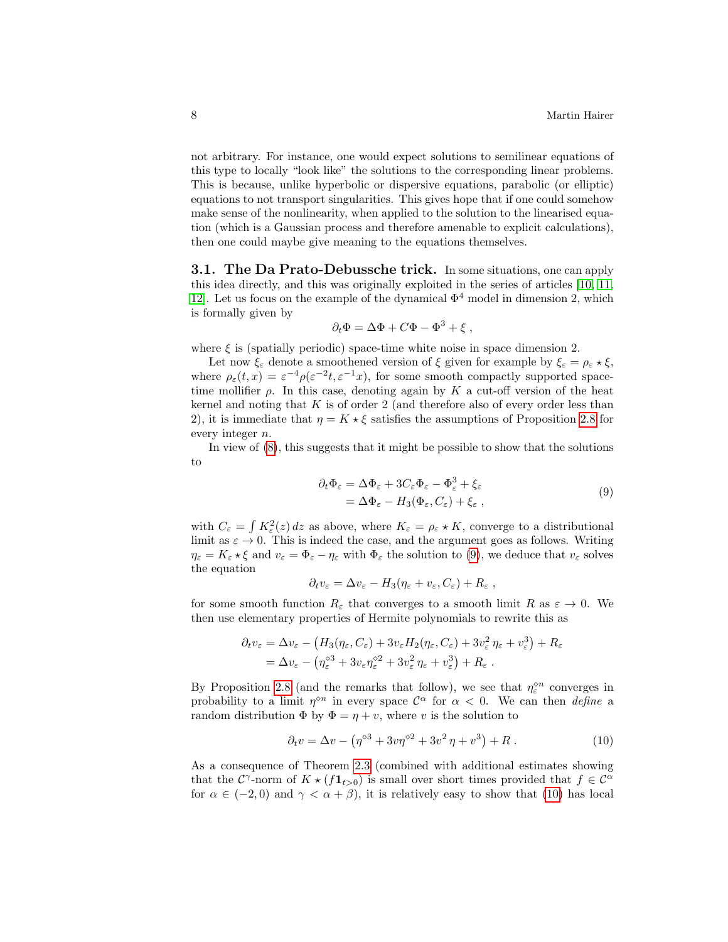not arbitrary. For instance, one would expect solutions to semilinear equations of this type to locally "look like" the solutions to the corresponding linear problems. This is because, unlike hyperbolic or dispersive equations, parabolic (or elliptic) equations to not transport singularities. This gives hope that if one could somehow make sense of the nonlinearity, when applied to the solution to the linearised equation (which is a Gaussian process and therefore amenable to explicit calculations), then one could maybe give meaning to the equations themselves.

<span id="page-7-0"></span>**3.1. The Da Prato-Debussche trick.** In some situations, one can apply this idea directly, and this was originally exploited in the series of articles [\[10,](#page-25-8) [11,](#page-25-9) 12. Let us focus on the example of the dynamical  $\Phi^4$  model in dimension 2, which is formally given by

$$
\partial_t \Phi = \Delta \Phi + C\Phi - \Phi^3 + \xi ,
$$

where  $\xi$  is (spatially periodic) space-time white noise in space dimension 2.

Let now  $\xi_{\varepsilon}$  denote a smoothened version of  $\xi$  given for example by  $\xi_{\varepsilon} = \rho_{\varepsilon} * \xi$ , where  $\rho_{\varepsilon}(t,x) = \varepsilon^{-4} \rho(\varepsilon^{-2}t, \varepsilon^{-1}x)$ , for some smooth compactly supported spacetime mollifier  $\rho$ . In this case, denoting again by K a cut-off version of the heat kernel and noting that  $K$  is of order 2 (and therefore also of every order less than 2), it is immediate that  $\eta = K \star \xi$  satisfies the assumptions of Proposition [2.8](#page-6-1) for every integer n.

In view of [\(8\)](#page-6-2), this suggests that it might be possible to show that the solutions to

<span id="page-7-1"></span>
$$
\partial_t \Phi_{\varepsilon} = \Delta \Phi_{\varepsilon} + 3C_{\varepsilon} \Phi_{\varepsilon} - \Phi_{\varepsilon}^3 + \xi_{\varepsilon}
$$
  
=  $\Delta \Phi_{\varepsilon} - H_3(\Phi_{\varepsilon}, C_{\varepsilon}) + \xi_{\varepsilon}$ , (9)

with  $C_{\varepsilon} = \int K_{\varepsilon}^{2}(z) dz$  as above, where  $K_{\varepsilon} = \rho_{\varepsilon} * K$ , converge to a distributional limit as  $\varepsilon \to 0$ . This is indeed the case, and the argument goes as follows. Writing  $\eta_{\varepsilon} = K_{\varepsilon} \star \xi$  and  $v_{\varepsilon} = \Phi_{\varepsilon} - \eta_{\varepsilon}$  with  $\Phi_{\varepsilon}$  the solution to [\(9\)](#page-7-1), we deduce that  $v_{\varepsilon}$  solves the equation

$$
\partial_t v_{\varepsilon} = \Delta v_{\varepsilon} - H_3(\eta_{\varepsilon} + v_{\varepsilon}, C_{\varepsilon}) + R_{\varepsilon} ,
$$

for some smooth function  $R_{\varepsilon}$  that converges to a smooth limit R as  $\varepsilon \to 0$ . We then use elementary properties of Hermite polynomials to rewrite this as

$$
\partial_t v_{\varepsilon} = \Delta v_{\varepsilon} - \left( H_3(\eta_{\varepsilon}, C_{\varepsilon}) + 3v_{\varepsilon} H_2(\eta_{\varepsilon}, C_{\varepsilon}) + 3v_{\varepsilon}^2 \eta_{\varepsilon} + v_{\varepsilon}^3 \right) + R_{\varepsilon}
$$
  
=  $\Delta v_{\varepsilon} - (\eta_{\varepsilon}^{\otimes 3} + 3v_{\varepsilon} \eta_{\varepsilon}^{\otimes 2} + 3v_{\varepsilon}^2 \eta_{\varepsilon} + v_{\varepsilon}^3) + R_{\varepsilon}.$ 

By Proposition [2.8](#page-6-1) (and the remarks that follow), we see that  $\eta_{\varepsilon}^{\diamond n}$  converges in probability to a limit  $\eta^{\diamond n}$  in every space  $\mathcal{C}^{\alpha}$  for  $\alpha < 0$ . We can then *define* a random distribution  $\Phi$  by  $\Phi = \eta + v$ , where v is the solution to

<span id="page-7-2"></span>
$$
\partial_t v = \Delta v - \left(\eta^{\diamond 3} + 3v\eta^{\diamond 2} + 3v^2\eta + v^3\right) + R \,. \tag{10}
$$

As a consequence of Theorem [2.3](#page-4-1) (combined with additional estimates showing that the  $\mathcal{C}^{\gamma}$ -norm of  $K \star (f \mathbf{1}_{t>0})$  is small over short times provided that  $f \in \mathcal{C}^{\alpha}$ for  $\alpha \in (-2,0)$  and  $\gamma < \alpha + \beta$ , it is relatively easy to show that [\(10\)](#page-7-2) has local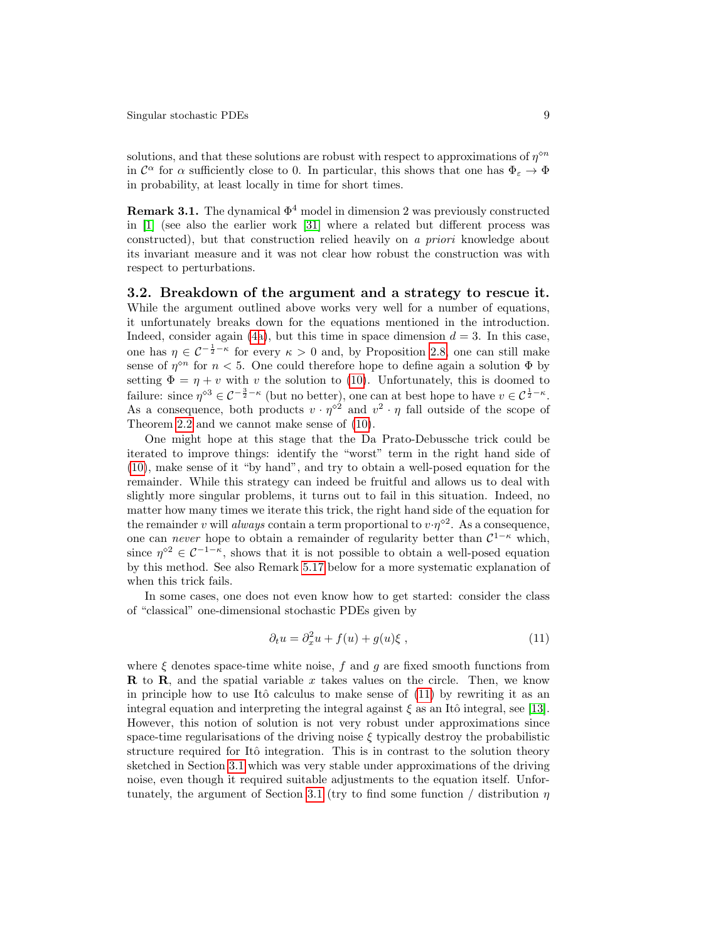solutions, and that these solutions are robust with respect to approximations of  $\eta^{\diamond n}$ in  $\mathcal{C}^{\alpha}$  for  $\alpha$  sufficiently close to 0. In particular, this shows that one has  $\Phi_{\varepsilon} \to \Phi$ in probability, at least locally in time for short times.

**Remark 3.1.** The dynamical  $\Phi^4$  model in dimension 2 was previously constructed in [\[1\]](#page-24-1) (see also the earlier work [\[31\]](#page-26-13) where a related but different process was constructed), but that construction relied heavily on a priori knowledge about its invariant measure and it was not clear how robust the construction was with respect to perturbations.

3.2. Breakdown of the argument and a strategy to rescue it. While the argument outlined above works very well for a number of equations, it unfortunately breaks down for the equations mentioned in the introduction. Indeed, consider again [\(4a\)](#page-1-1), but this time in space dimension  $d = 3$ . In this case, one has  $\eta \in C^{-\frac{1}{2} - \kappa}$  for every  $\kappa > 0$  and, by Proposition [2.8,](#page-6-1) one can still make sense of  $\eta^{\diamond n}$  for  $n < 5$ . One could therefore hope to define again a solution  $\Phi$  by setting  $\Phi = \eta + v$  with v the solution to [\(10\)](#page-7-2). Unfortunately, this is doomed to failure: since  $\eta^{\diamond 3} \in C^{-\frac{3}{2}-\kappa}$  (but no better), one can at best hope to have  $v \in C^{\frac{1}{2}-\kappa}$ . As a consequence, both products  $v \cdot \eta^{\diamond 2}$  and  $v^2 \cdot \eta$  fall outside of the scope of Theorem [2.2](#page-4-2) and we cannot make sense of [\(10\)](#page-7-2).

One might hope at this stage that the Da Prato-Debussche trick could be iterated to improve things: identify the "worst" term in the right hand side of [\(10\)](#page-7-2), make sense of it "by hand", and try to obtain a well-posed equation for the remainder. While this strategy can indeed be fruitful and allows us to deal with slightly more singular problems, it turns out to fail in this situation. Indeed, no matter how many times we iterate this trick, the right hand side of the equation for the remainder v will always contain a term proportional to  $v \cdot \eta^{\diamond 2}$ . As a consequence, one can *never* hope to obtain a remainder of regularity better than  $C^{1-\kappa}$  which, since  $\eta^{\circ 2} \in C^{-1-\kappa}$ , shows that it is not possible to obtain a well-posed equation by this method. See also Remark [5.17](#page-24-0) below for a more systematic explanation of when this trick fails.

In some cases, one does not even know how to get started: consider the class of "classical" one-dimensional stochastic PDEs given by

<span id="page-8-0"></span>
$$
\partial_t u = \partial_x^2 u + f(u) + g(u)\xi , \qquad (11)
$$

where  $\xi$  denotes space-time white noise,  $f$  and  $g$  are fixed smooth functions from **R** to **R**, and the spatial variable x takes values on the circle. Then, we know in principle how to use Itô calculus to make sense of  $(11)$  by rewriting it as an integral equation and interpreting the integral against  $\xi$  as an Itô integral, see [\[13\]](#page-25-16). However, this notion of solution is not very robust under approximations since space-time regularisations of the driving noise  $\xi$  typically destroy the probabilistic structure required for Itô integration. This is in contrast to the solution theory sketched in Section [3.1](#page-7-0) which was very stable under approximations of the driving noise, even though it required suitable adjustments to the equation itself. Unfor-tunately, the argument of Section [3.1](#page-7-0) (try to find some function / distribution  $\eta$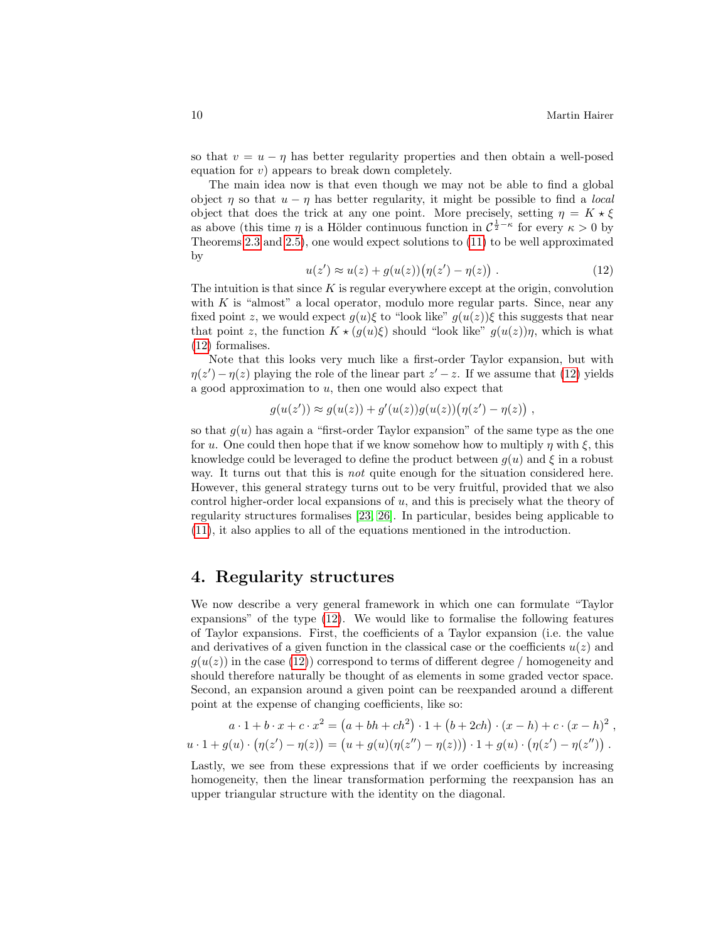so that  $v = u - \eta$  has better regularity properties and then obtain a well-posed equation for  $v$ ) appears to break down completely.

The main idea now is that even though we may not be able to find a global object  $\eta$  so that  $u - \eta$  has better regularity, it might be possible to find a *local* object that does the trick at any one point. More precisely, setting  $\eta = K \star \xi$ as above (this time  $\eta$  is a Hölder continuous function in  $C^{\frac{1}{2}-\kappa}$  for every  $\kappa > 0$  by Theorems [2.3](#page-4-1) and [2.5\)](#page-5-0), one would expect solutions to [\(11\)](#page-8-0) to be well approximated by

<span id="page-9-1"></span>
$$
u(z') \approx u(z) + g(u(z)) (\eta(z') - \eta(z)) . \tag{12}
$$

The intuition is that since  $K$  is regular everywhere except at the origin, convolution with  $K$  is "almost" a local operator, modulo more regular parts. Since, near any fixed point z, we would expect  $g(u)\xi$  to "look like"  $g(u(z))\xi$  this suggests that near that point z, the function  $K \star (g(u)\xi)$  should "look like"  $g(u(z))\eta$ , which is what [\(12\)](#page-9-1) formalises.

Note that this looks very much like a first-order Taylor expansion, but with  $\eta(z') - \eta(z)$  playing the role of the linear part  $z' - z$ . If we assume that [\(12\)](#page-9-1) yields a good approximation to  $u$ , then one would also expect that

$$
g(u(z')) \approx g(u(z)) + g'(u(z))g(u(z))(\eta(z') - \eta(z)),
$$

so that  $g(u)$  has again a "first-order Taylor expansion" of the same type as the one for u. One could then hope that if we know somehow how to multiply  $\eta$  with  $\xi$ , this knowledge could be leveraged to define the product between  $q(u)$  and  $\xi$  in a robust way. It turns out that this is *not* quite enough for the situation considered here. However, this general strategy turns out to be very fruitful, provided that we also control higher-order local expansions of u, and this is precisely what the theory of regularity structures formalises [\[23,](#page-25-0) [26\]](#page-26-14). In particular, besides being applicable to [\(11\)](#page-8-0), it also applies to all of the equations mentioned in the introduction.

#### <span id="page-9-0"></span>4. Regularity structures

We now describe a very general framework in which one can formulate "Taylor expansions" of the type [\(12\)](#page-9-1). We would like to formalise the following features of Taylor expansions. First, the coefficients of a Taylor expansion (i.e. the value and derivatives of a given function in the classical case or the coefficients  $u(z)$  and  $g(u(z))$  in the case [\(12\)](#page-9-1)) correspond to terms of different degree / homogeneity and should therefore naturally be thought of as elements in some graded vector space. Second, an expansion around a given point can be reexpanded around a different point at the expense of changing coefficients, like so:

$$
a \cdot 1 + b \cdot x + c \cdot x^2 = (a + bh + ch^2) \cdot 1 + (b + 2ch) \cdot (x - h) + c \cdot (x - h)^2,
$$
  

$$
u \cdot 1 + g(u) \cdot (\eta(z') - \eta(z)) = (u + g(u)(\eta(z'') - \eta(z))) \cdot 1 + g(u) \cdot (\eta(z') - \eta(z'')).
$$

Lastly, we see from these expressions that if we order coefficients by increasing homogeneity, then the linear transformation performing the reexpansion has an upper triangular structure with the identity on the diagonal.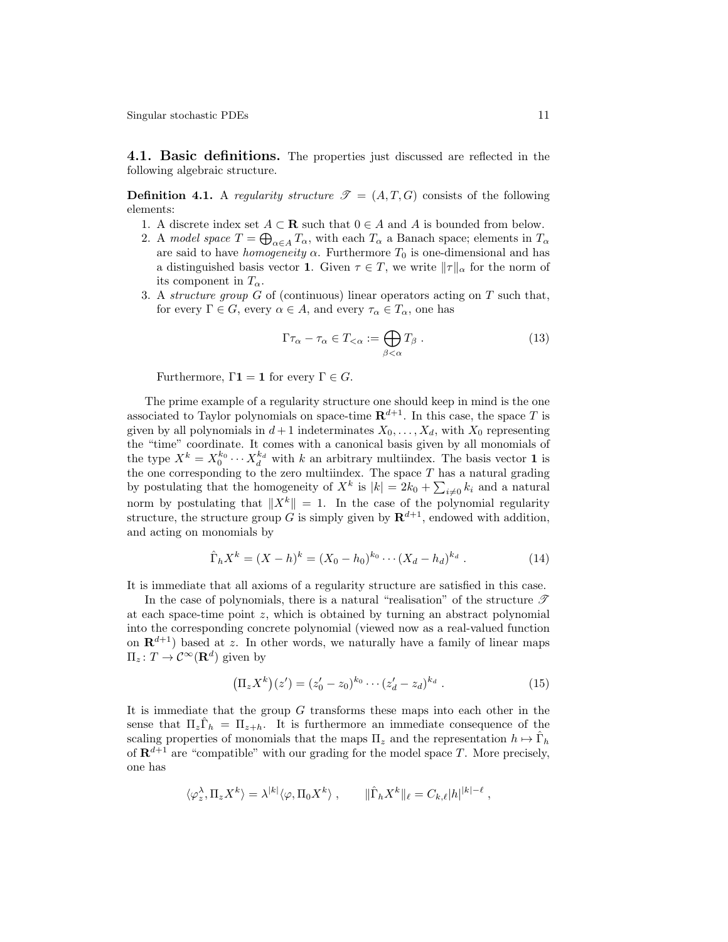<span id="page-10-1"></span>4.1. Basic definitions. The properties just discussed are reflected in the following algebraic structure.

<span id="page-10-2"></span>**Definition 4.1.** A regularity structure  $\mathcal{T} = (A, T, G)$  consists of the following elements:

- 1. A discrete index set  $A \subset \mathbf{R}$  such that  $0 \in A$  and A is bounded from below.
- 2. A model space  $T = \bigoplus_{\alpha \in A} T_{\alpha}$ , with each  $T_{\alpha}$  a Banach space; elements in  $T_{\alpha}$ are said to have *homogeneity*  $\alpha$ . Furthermore  $T_0$  is one-dimensional and has a distinguished basis vector 1. Given  $\tau \in T$ , we write  $\|\tau\|_{\alpha}$  for the norm of its component in  $T_{\alpha}$ .
- 3. A *structure group*  $G$  of (continuous) linear operators acting on  $T$  such that, for every  $\Gamma \in G$ , every  $\alpha \in A$ , and every  $\tau_{\alpha} \in T_{\alpha}$ , one has

<span id="page-10-3"></span>
$$
\Gamma \tau_{\alpha} - \tau_{\alpha} \in T_{<\alpha} := \bigoplus_{\beta < \alpha} T_{\beta} . \tag{13}
$$

Furthermore,  $\Gamma$ **1** = **1** for every  $\Gamma \in G$ .

The prime example of a regularity structure one should keep in mind is the one associated to Taylor polynomials on space-time  $\mathbb{R}^{d+1}$ . In this case, the space T is given by all polynomials in  $d+1$  indeterminates  $X_0, \ldots, X_d$ , with  $X_0$  representing the "time" coordinate. It comes with a canonical basis given by all monomials of the type  $X^k = X_0^{k_0} \cdots X_d^{k_d}$  with k an arbitrary multiindex. The basis vector 1 is the one corresponding to the zero multiindex. The space  $T$  has a natural grading by postulating that the homogeneity of  $X^k$  is  $|k| = 2k_0 + \sum_{i \neq 0} k_i$  and a natural norm by postulating that  $||X^k|| = 1$ . In the case of the polynomial regularity structure, the structure group G is simply given by  $\mathbf{R}^{d+1}$ , endowed with addition, and acting on monomials by

<span id="page-10-0"></span>
$$
\hat{\Gamma}_h X^k = (X - h)^k = (X_0 - h_0)^{k_0} \cdots (X_d - h_d)^{k_d} . \tag{14}
$$

It is immediate that all axioms of a regularity structure are satisfied in this case.

In the case of polynomials, there is a natural "realisation" of the structure  $\mathscr T$ at each space-time point  $z$ , which is obtained by turning an abstract polynomial into the corresponding concrete polynomial (viewed now as a real-valued function on  $\mathbf{R}^{d+1}$ ) based at z. In other words, we naturally have a family of linear maps  $\Pi_z: T \to \mathcal{C}^\infty(\mathbf{R}^d)$  given by

$$
\left(\Pi_z X^k\right)(z') = (z'_0 - z_0)^{k_0} \cdots (z'_d - z_d)^{k_d} . \tag{15}
$$

It is immediate that the group G transforms these maps into each other in the sense that  $\Pi_z \hat{\Gamma}_h = \Pi_{z+h}$ . It is furthermore an immediate consequence of the scaling properties of monomials that the maps  $\Pi_z$  and the representation  $h \mapsto \hat{\Gamma}_h$ of  $\mathbf{R}^{d+1}$  are "compatible" with our grading for the model space T. More precisely, one has

$$
\langle \varphi^{\lambda}_{z}, \Pi_{z} X^{k} \rangle = \lambda^{|k|} \langle \varphi, \Pi_{0} X^{k} \rangle , \qquad \|\hat{\Gamma}_{h} X^{k}\|_{\ell} = C_{k, \ell} |h|^{|k| - \ell} ,
$$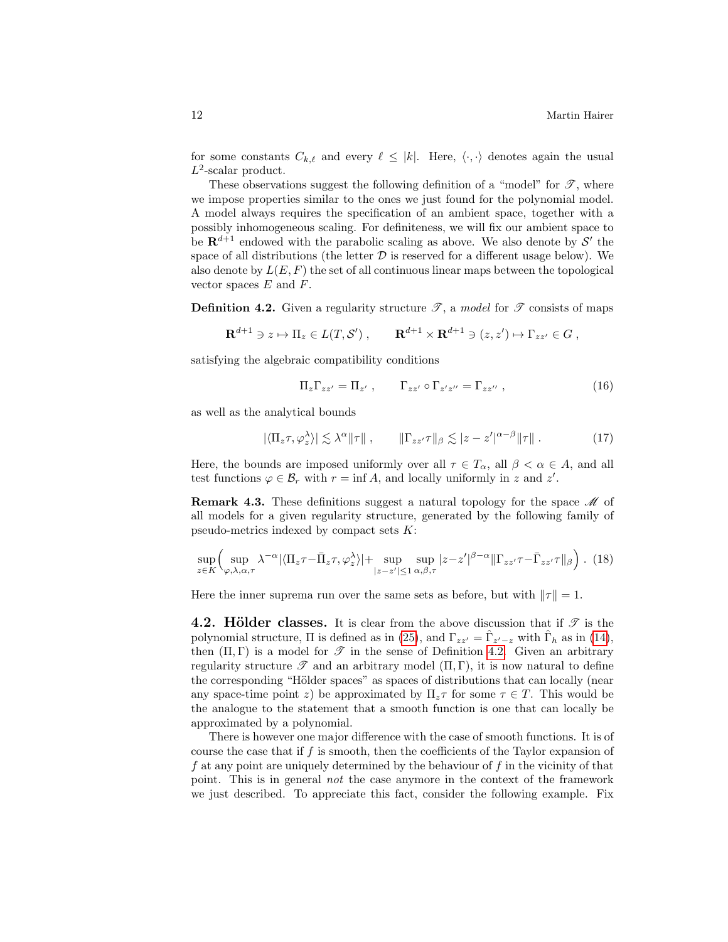for some constants  $C_{k,\ell}$  and every  $\ell \leq |k|$ . Here,  $\langle \cdot, \cdot \rangle$  denotes again the usual  $L^2$ -scalar product.

These observations suggest the following definition of a "model" for  $\mathscr{T}$ , where we impose properties similar to the ones we just found for the polynomial model. A model always requires the specification of an ambient space, together with a possibly inhomogeneous scaling. For definiteness, we will fix our ambient space to be  $\mathbf{R}^{d+1}$  endowed with the parabolic scaling as above. We also denote by S' the space of all distributions (the letter  $D$  is reserved for a different usage below). We also denote by  $L(E, F)$  the set of all continuous linear maps between the topological vector spaces  $E$  and  $F$ .

<span id="page-11-0"></span>**Definition 4.2.** Given a regularity structure  $\mathcal{T}$ , a model for  $\mathcal{T}$  consists of maps

$$
\mathbf{R}^{d+1} \ni z \mapsto \Pi_z \in L(T, \mathcal{S}'), \qquad \mathbf{R}^{d+1} \times \mathbf{R}^{d+1} \ni (z, z') \mapsto \Gamma_{zz'} \in G,
$$

satisfying the algebraic compatibility conditions

<span id="page-11-2"></span><span id="page-11-1"></span>
$$
\Pi_z \Gamma_{zz'} = \Pi_{z'}, \qquad \Gamma_{zz'} \circ \Gamma_{z'z''} = \Gamma_{zz''} , \qquad (16)
$$

as well as the analytical bounds

$$
|\langle \Pi_z \tau, \varphi_z^{\lambda} \rangle| \lesssim \lambda^{\alpha} \|\tau\| , \qquad \|\Gamma_{zz'} \tau\|_{\beta} \lesssim |z - z'|^{\alpha - \beta} \|\tau\| . \tag{17}
$$

Here, the bounds are imposed uniformly over all  $\tau \in T_{\alpha}$ , all  $\beta < \alpha \in A$ , and all test functions  $\varphi \in \mathcal{B}_r$  with  $r = \inf A$ , and locally uniformly in z and z'.

**Remark 4.3.** These definitions suggest a natural topology for the space  $\mathcal{M}$  of all models for a given regularity structure, generated by the following family of pseudo-metrics indexed by compact sets  $K$ :

$$
\sup_{z \in K} \Big( \sup_{\varphi,\lambda,\alpha,\tau} \lambda^{-\alpha} |\langle \Pi_z \tau - \bar{\Pi}_z \tau, \varphi_z^{\lambda} \rangle| + \sup_{|z-z'| \le 1} \sup_{\alpha,\beta,\tau} |z-z'|^{\beta-\alpha} \|\Gamma_{zz'} \tau - \bar{\Gamma}_{zz'} \tau\|_{\beta} \Big) . \tag{18}
$$

Here the inner suprema run over the same sets as before, but with  $\|\tau\| = 1$ .

**4.2. Hölder classes.** It is clear from the above discussion that if  $\mathscr{T}$  is the polynomial structure,  $\Pi$  is defined as in [\(25\)](#page-17-0), and  $\Gamma_{zz'} = \hat{\Gamma}_{z'-z}$  with  $\hat{\Gamma}_h$  as in [\(14\)](#page-10-0), then  $(\Pi, \Gamma)$  is a model for  $\mathscr T$  in the sense of Definition [4.2.](#page-11-0) Given an arbitrary regularity structure  $\mathscr T$  and an arbitrary model  $(\Pi, \Gamma)$ , it is now natural to define the corresponding "Hölder spaces" as spaces of distributions that can locally (near any space-time point z) be approximated by  $\Pi_z \tau$  for some  $\tau \in T$ . This would be the analogue to the statement that a smooth function is one that can locally be approximated by a polynomial.

There is however one major difference with the case of smooth functions. It is of course the case that if  $f$  is smooth, then the coefficients of the Taylor expansion of f at any point are uniquely determined by the behaviour of  $f$  in the vicinity of that point. This is in general not the case anymore in the context of the framework we just described. To appreciate this fact, consider the following example. Fix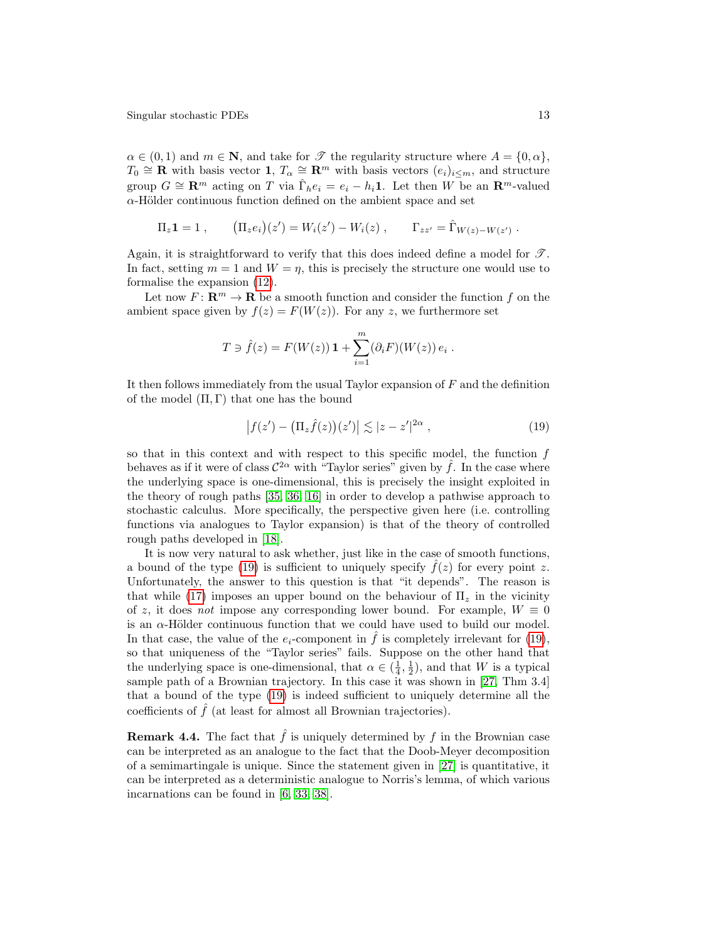$\alpha \in (0,1)$  and  $m \in \mathbb{N}$ , and take for  $\mathscr{T}$  the regularity structure where  $A = \{0, \alpha\},\$  $T_0 \cong \mathbf{R}$  with basis vector  $\mathbf{1}, T_\alpha \cong \mathbf{R}^m$  with basis vectors  $(e_i)_{i \leq m}$ , and structure group  $G \cong \mathbf{R}^m$  acting on T via  $\hat{\Gamma}_h e_i = e_i - h_i \mathbf{1}$ . Let then W be an  $\mathbf{R}^m$ -valued  $\alpha$ -Hölder continuous function defined on the ambient space and set

$$
\Pi_z \mathbf{1} = 1
$$
,  $(\Pi_z e_i)(z') = W_i(z') - W_i(z)$ ,  $\Gamma_{zz'} = \hat{\Gamma}_{W(z) - W(z')}$ .

Again, it is straightforward to verify that this does indeed define a model for  $\mathscr{T}$ . In fact, setting  $m = 1$  and  $W = \eta$ , this is precisely the structure one would use to formalise the expansion [\(12\)](#page-9-1).

Let now  $F: \mathbb{R}^m \to \mathbb{R}$  be a smooth function and consider the function f on the ambient space given by  $f(z) = F(W(z))$ . For any z, we furthermore set

$$
T \ni \hat{f}(z) = F(W(z)) \mathbf{1} + \sum_{i=1}^{m} (\partial_i F)(W(z)) e_i.
$$

It then follows immediately from the usual Taylor expansion of  $F$  and the definition of the model  $(\Pi, \Gamma)$  that one has the bound

<span id="page-12-0"></span>
$$
\left|f(z') - \left(\Pi_z \hat{f}(z)\right)(z')\right| \lesssim |z - z'|^{2\alpha} ,\qquad (19)
$$

so that in this context and with respect to this specific model, the function  $f$ behaves as if it were of class  $\mathcal{C}^{2\alpha}$  with "Taylor series" given by  $\hat{f}$ . In the case where the underlying space is one-dimensional, this is precisely the insight exploited in the theory of rough paths [\[35,](#page-26-15) [36,](#page-26-16) [16\]](#page-25-17) in order to develop a pathwise approach to stochastic calculus. More specifically, the perspective given here (i.e. controlling functions via analogues to Taylor expansion) is that of the theory of controlled rough paths developed in [\[18\]](#page-25-5).

It is now very natural to ask whether, just like in the case of smooth functions, a bound of the type [\(19\)](#page-12-0) is sufficient to uniquely specify  $f(z)$  for every point z. Unfortunately, the answer to this question is that "it depends". The reason is that while [\(17\)](#page-11-1) imposes an upper bound on the behaviour of  $\Pi_z$  in the vicinity of z, it does not impose any corresponding lower bound. For example,  $W \equiv 0$ is an  $\alpha$ -Hölder continuous function that we could have used to build our model. In that case, the value of the  $e_i$ -component in  $\hat{f}$  is completely irrelevant for [\(19\)](#page-12-0), so that uniqueness of the "Taylor series" fails. Suppose on the other hand that the underlying space is one-dimensional, that  $\alpha \in (\frac{1}{4}, \frac{1}{2})$ , and that W is a typical sample path of a Brownian trajectory. In this case it was shown in [\[27,](#page-26-17) Thm 3.4] that a bound of the type [\(19\)](#page-12-0) is indeed sufficient to uniquely determine all the coefficients of  $\hat{f}$  (at least for almost all Brownian trajectories).

**Remark 4.4.** The fact that  $\hat{f}$  is uniquely determined by f in the Brownian case can be interpreted as an analogue to the fact that the Doob-Meyer decomposition of a semimartingale is unique. Since the statement given in [\[27\]](#page-26-17) is quantitative, it can be interpreted as a deterministic analogue to Norris's lemma, of which various incarnations can be found in [\[6,](#page-25-18) [33,](#page-26-18) [38\]](#page-26-19).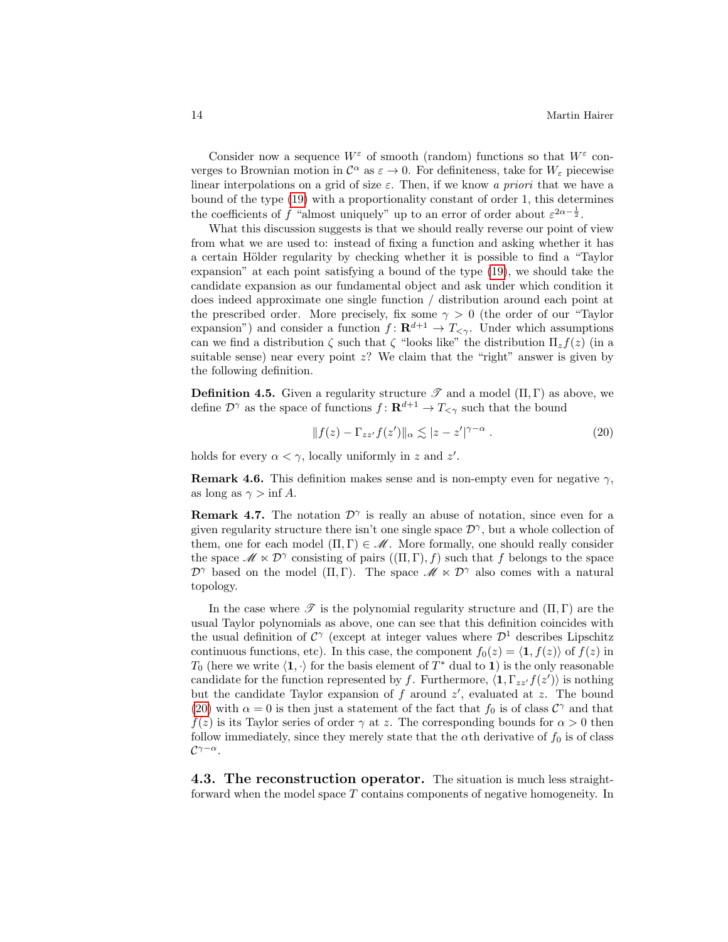Consider now a sequence  $W^{\varepsilon}$  of smooth (random) functions so that  $W^{\varepsilon}$  converges to Brownian motion in  $\mathcal{C}^{\alpha}$  as  $\varepsilon \to 0$ . For definiteness, take for  $W_{\varepsilon}$  piecewise linear interpolations on a grid of size  $\varepsilon$ . Then, if we know a priori that we have a bound of the type [\(19\)](#page-12-0) with a proportionality constant of order 1, this determines the coefficients of  $\hat{f}$  "almost uniquely" up to an error of order about  $\varepsilon^{2\alpha-\frac{1}{2}}$ .

What this discussion suggests is that we should really reverse our point of view from what we are used to: instead of fixing a function and asking whether it has a certain Hölder regularity by checking whether it is possible to find a "Taylor" expansion" at each point satisfying a bound of the type [\(19\)](#page-12-0), we should take the candidate expansion as our fundamental object and ask under which condition it does indeed approximate one single function / distribution around each point at the prescribed order. More precisely, fix some  $\gamma > 0$  (the order of our "Taylor" expansion") and consider a function  $f: \mathbf{R}^{d+1} \to T_{\leq \gamma}$ . Under which assumptions can we find a distribution  $\zeta$  such that  $\zeta$  "looks like" the distribution  $\Pi_z f(z)$  (in a suitable sense) near every point  $z$ ? We claim that the "right" answer is given by the following definition.

**Definition 4.5.** Given a regularity structure  $\mathscr{T}$  and a model  $(\Pi, \Gamma)$  as above, we define  $\mathcal{D}^{\gamma}$  as the space of functions  $f: \mathbf{R}^{d+1} \to T_{\leq \gamma}$  such that the bound

<span id="page-13-0"></span>
$$
||f(z) - \Gamma_{zz'}f(z')||_{\alpha} \lesssim |z - z'|^{\gamma - \alpha} . \tag{20}
$$

holds for every  $\alpha < \gamma$ , locally uniformly in z and z'.

**Remark 4.6.** This definition makes sense and is non-empty even for negative  $\gamma$ , as long as  $\gamma > \inf A$ .

**Remark 4.7.** The notation  $\mathcal{D}^{\gamma}$  is really an abuse of notation, since even for a given regularity structure there isn't one single space  $\mathcal{D}^{\gamma}$ , but a whole collection of them, one for each model  $(\Pi, \Gamma) \in \mathcal{M}$ . More formally, one should really consider the space  $\mathscr{M} \ltimes \mathcal{D}^{\gamma}$  consisting of pairs  $((\Pi, \Gamma), f)$  such that f belongs to the space  $\mathcal{D}^{\gamma}$  based on the model  $(\Pi, \Gamma)$ . The space  $\mathscr{M} \ltimes \mathcal{D}^{\gamma}$  also comes with a natural topology.

In the case where  $\mathscr T$  is the polynomial regularity structure and  $(\Pi, \Gamma)$  are the usual Taylor polynomials as above, one can see that this definition coincides with the usual definition of  $\mathcal{C}^{\gamma}$  (except at integer values where  $\mathcal{D}^1$  describes Lipschitz continuous functions, etc). In this case, the component  $f_0(z) = \langle 1, f(z) \rangle$  of  $f(z)$  in  $T_0$  (here we write  $\langle 1, \cdot \rangle$  for the basis element of  $T^*$  dual to 1) is the only reasonable candidate for the function represented by f. Furthermore,  $\langle \mathbf{1}, \Gamma_{zz'} f(z') \rangle$  is nothing but the candidate Taylor expansion of  $f$  around  $z'$ , evaluated at  $z$ . The bound [\(20\)](#page-13-0) with  $\alpha = 0$  is then just a statement of the fact that  $f_0$  is of class  $\mathcal{C}^{\gamma}$  and that  $f(z)$  is its Taylor series of order  $\gamma$  at z. The corresponding bounds for  $\alpha > 0$  then follow immediately, since they merely state that the  $\alpha$ th derivative of  $f_0$  is of class  $\mathcal{C}^{\gamma-\alpha}.$ 

4.3. The reconstruction operator. The situation is much less straightforward when the model space T contains components of negative homogeneity. In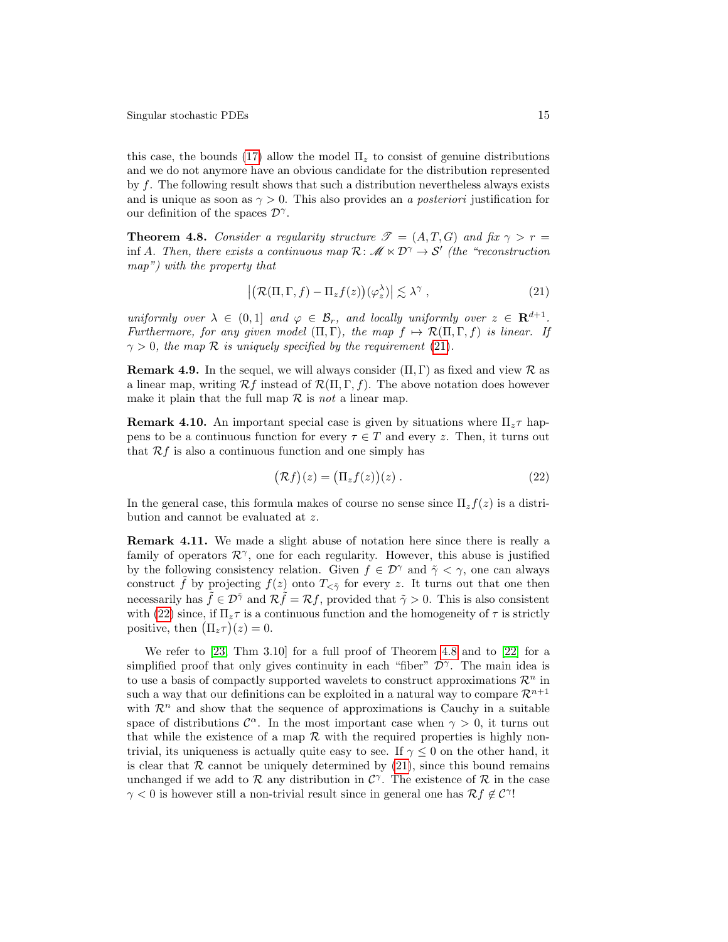this case, the bounds [\(17\)](#page-11-1) allow the model  $\Pi_z$  to consist of genuine distributions and we do not anymore have an obvious candidate for the distribution represented by f. The following result shows that such a distribution nevertheless always exists and is unique as soon as  $\gamma > 0$ . This also provides an a posteriori justification for our definition of the spaces  $\mathcal{D}^{\gamma}$ .

<span id="page-14-2"></span>**Theorem 4.8.** Consider a regularity structure  $\mathcal{T} = (A, T, G)$  and fix  $\gamma > r =$ inf A. Then, there exists a continuous map  $\mathcal{R}: \mathscr{M} \times \mathcal{D}^{\gamma} \to \mathcal{S}'$  (the "reconstruction map") with the property that

<span id="page-14-0"></span>
$$
\left| \left( \mathcal{R}(\Pi, \Gamma, f) - \Pi_z f(z) \right) (\varphi_z^{\lambda}) \right| \lesssim \lambda^{\gamma} , \tag{21}
$$

uniformly over  $\lambda \in (0,1]$  and  $\varphi \in \mathcal{B}_r$ , and locally uniformly over  $z \in \mathbf{R}^{d+1}$ . Furthermore, for any given model  $(\Pi, \Gamma)$ , the map  $f \mapsto \mathcal{R}(\Pi, \Gamma, f)$  is linear. If  $\gamma > 0$ , the map R is uniquely specified by the requirement [\(21\)](#page-14-0).

**Remark 4.9.** In the sequel, we will always consider  $(\Pi, \Gamma)$  as fixed and view R as a linear map, writing  $\mathcal{R}f$  instead of  $\mathcal{R}(\Pi,\Gamma,f)$ . The above notation does however make it plain that the full map  $R$  is not a linear map.

**Remark 4.10.** An important special case is given by situations where  $\Pi_z \tau$  happens to be a continuous function for every  $\tau \in T$  and every z. Then, it turns out that  $\mathcal{R}f$  is also a continuous function and one simply has

<span id="page-14-1"></span>
$$
(\mathcal{R}f)(z) = (\Pi_z f(z))(z) . \tag{22}
$$

In the general case, this formula makes of course no sense since  $\Pi_z f(z)$  is a distribution and cannot be evaluated at z.

Remark 4.11. We made a slight abuse of notation here since there is really a family of operators  $\mathcal{R}^{\gamma}$ , one for each regularity. However, this abuse is justified by the following consistency relation. Given  $f \in \mathcal{D}^{\gamma}$  and  $\tilde{\gamma} < \gamma$ , one can always construct f by projecting  $f(z)$  onto  $T_{\leq \tilde{\gamma}}$  for every z. It turns out that one then necessarily has  $\hat{f} \in \mathcal{D}^{\gamma}$  and  $\mathcal{R}\hat{f} = \mathcal{R}f$ , provided that  $\tilde{\gamma} > 0$ . This is also consistent with [\(22\)](#page-14-1) since, if  $\Pi_z \tau$  is a continuous function and the homogeneity of  $\tau$  is strictly positive, then  $(\Pi_z \tau)(z) = 0$ .

We refer to [\[23,](#page-25-0) Thm 3.10] for a full proof of Theorem [4.8](#page-14-2) and to [\[22\]](#page-25-19) for a simplified proof that only gives continuity in each "fiber"  $\mathcal{D}^{\gamma}$ . The main idea is to use a basis of compactly supported wavelets to construct approximations  $\mathcal{R}^n$  in such a way that our definitions can be exploited in a natural way to compare  $\mathcal{R}^{n+1}$ with  $\mathcal{R}^n$  and show that the sequence of approximations is Cauchy in a suitable space of distributions  $\mathcal{C}^{\alpha}$ . In the most important case when  $\gamma > 0$ , it turns out that while the existence of a map  $\mathcal R$  with the required properties is highly nontrivial, its uniqueness is actually quite easy to see. If  $\gamma \leq 0$  on the other hand, it is clear that  $\mathcal R$  cannot be uniquely determined by [\(21\)](#page-14-0), since this bound remains unchanged if we add to  $\mathcal R$  any distribution in  $\mathcal C^{\gamma}$ . The existence of  $\mathcal R$  in the case  $\gamma < 0$  is however still a non-trivial result since in general one has  $\mathcal{R} f \notin \mathcal{C}^{\gamma}!$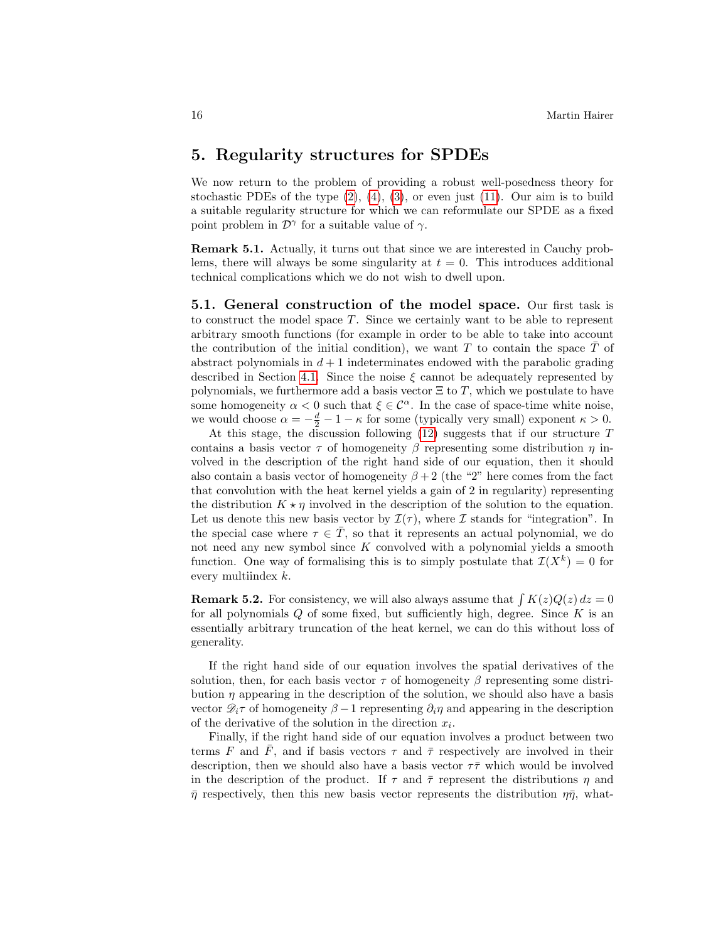### <span id="page-15-0"></span>5. Regularity structures for SPDEs

We now return to the problem of providing a robust well-posedness theory for stochastic PDEs of the type  $(2)$ ,  $(4)$ ,  $(3)$ , or even just  $(11)$ . Our aim is to build a suitable regularity structure for which we can reformulate our SPDE as a fixed point problem in  $\mathcal{D}^{\gamma}$  for a suitable value of  $\gamma$ .

Remark 5.1. Actually, it turns out that since we are interested in Cauchy problems, there will always be some singularity at  $t = 0$ . This introduces additional technical complications which we do not wish to dwell upon.

<span id="page-15-1"></span>5.1. General construction of the model space. Our first task is to construct the model space T. Since we certainly want to be able to represent arbitrary smooth functions (for example in order to be able to take into account the contribution of the initial condition), we want  $T$  to contain the space  $\overline{T}$  of abstract polynomials in  $d+1$  indeterminates endowed with the parabolic grading described in Section [4.1.](#page-10-1) Since the noise  $\xi$  cannot be adequately represented by polynomials, we furthermore add a basis vector  $\Xi$  to T, which we postulate to have some homogeneity  $\alpha < 0$  such that  $\xi \in \mathcal{C}^{\alpha}$ . In the case of space-time white noise, we would choose  $\alpha = -\frac{d}{2} - 1 - \kappa$  for some (typically very small) exponent  $\kappa > 0$ .

At this stage, the discussion following [\(12\)](#page-9-1) suggests that if our structure T contains a basis vector  $\tau$  of homogeneity  $\beta$  representing some distribution  $\eta$  involved in the description of the right hand side of our equation, then it should also contain a basis vector of homogeneity  $\beta + 2$  (the "2" here comes from the fact that convolution with the heat kernel yields a gain of 2 in regularity) representing the distribution  $K \star \eta$  involved in the description of the solution to the equation. Let us denote this new basis vector by  $\mathcal{I}(\tau)$ , where  $\mathcal I$  stands for "integration". In the special case where  $\tau \in \overline{T}$ , so that it represents an actual polynomial, we do not need any new symbol since  $K$  convolved with a polynomial yields a smooth function. One way of formalising this is to simply postulate that  $\mathcal{I}(X^k) = 0$  for every multiindex k.

**Remark 5.2.** For consistency, we will also always assume that  $\int K(z)Q(z) dz = 0$ for all polynomials  $Q$  of some fixed, but sufficiently high, degree. Since  $K$  is an essentially arbitrary truncation of the heat kernel, we can do this without loss of generality.

If the right hand side of our equation involves the spatial derivatives of the solution, then, for each basis vector  $\tau$  of homogeneity  $\beta$  representing some distribution  $\eta$  appearing in the description of the solution, we should also have a basis vector  $\mathcal{D}_i\tau$  of homogeneity  $\beta-1$  representing  $\partial_i\eta$  and appearing in the description of the derivative of the solution in the direction  $x_i$ .

Finally, if the right hand side of our equation involves a product between two terms F and  $\overline{F}$ , and if basis vectors  $\tau$  and  $\overline{\tau}$  respectively are involved in their description, then we should also have a basis vector  $\tau\bar{\tau}$  which would be involved in the description of the product. If  $\tau$  and  $\bar{\tau}$  represent the distributions  $\eta$  and  $\bar{\eta}$  respectively, then this new basis vector represents the distribution  $\eta\bar{\eta}$ , what-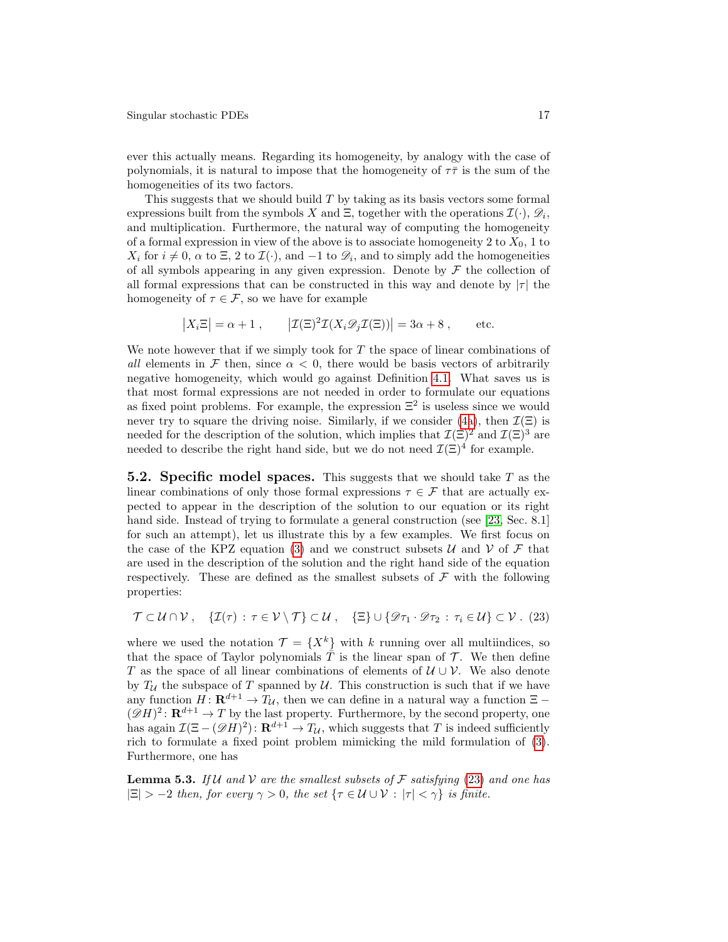ever this actually means. Regarding its homogeneity, by analogy with the case of polynomials, it is natural to impose that the homogeneity of  $\tau\bar{\tau}$  is the sum of the homogeneities of its two factors.

This suggests that we should build  $T$  by taking as its basis vectors some formal expressions built from the symbols X and  $\Xi$ , together with the operations  $\mathcal{I}(\cdot), \mathcal{D}_i$ , and multiplication. Furthermore, the natural way of computing the homogeneity of a formal expression in view of the above is to associate homogeneity 2 to  $X_0$ , 1 to  $X_i$  for  $i \neq 0$ ,  $\alpha$  to  $\Xi$ , 2 to  $\mathcal{I}(\cdot)$ , and  $-1$  to  $\mathscr{D}_i$ , and to simply add the homogeneities of all symbols appearing in any given expression. Denote by  $\mathcal F$  the collection of all formal expressions that can be constructed in this way and denote by  $|\tau|$  the homogeneity of  $\tau \in \mathcal{F}$ , so we have for example

$$
|X_i \Xi| = \alpha + 1
$$
,  $| \mathcal{I}(\Xi)^2 \mathcal{I}(X_i \mathcal{D}_j \mathcal{I}(\Xi)) | = 3\alpha + 8$ , etc.

We note however that if we simply took for  $T$  the space of linear combinations of all elements in F then, since  $\alpha < 0$ , there would be basis vectors of arbitrarily negative homogeneity, which would go against Definition [4.1.](#page-10-2) What saves us is that most formal expressions are not needed in order to formulate our equations as fixed point problems. For example, the expression  $\Xi^2$  is useless since we would never try to square the driving noise. Similarly, if we consider [\(4a\)](#page-1-1), then  $\mathcal{I}(\Xi)$  is needed for the description of the solution, which implies that  $\mathcal{I}(\Xi)^2$  and  $\mathcal{I}(\Xi)^3$  are needed to describe the right hand side, but we do not need  $\mathcal{I}(\Xi)^4$  for example.

<span id="page-16-2"></span>**5.2. Specific model spaces.** This suggests that we should take  $T$  as the linear combinations of only those formal expressions  $\tau \in \mathcal{F}$  that are actually expected to appear in the description of the solution to our equation or its right hand side. Instead of trying to formulate a general construction (see [\[23,](#page-25-0) Sec. 8.1] for such an attempt), let us illustrate this by a few examples. We first focus on the case of the KPZ equation [\(3\)](#page-1-0) and we construct subsets  $\mathcal U$  and  $\mathcal V$  of  $\mathcal F$  that are used in the description of the solution and the right hand side of the equation respectively. These are defined as the smallest subsets of  $\mathcal F$  with the following properties:

<span id="page-16-0"></span>
$$
\mathcal{T} \subset \mathcal{U} \cap \mathcal{V} \ , \quad \{\mathcal{I}(\tau) \,:\, \tau \in \mathcal{V} \setminus \mathcal{T}\} \subset \mathcal{U} \ , \quad \{\Xi\} \cup \{\mathscr{D}\tau_1 \cdot \mathscr{D}\tau_2 \,:\, \tau_i \in \mathcal{U}\} \subset \mathcal{V} \ . \tag{23}
$$

where we used the notation  $\mathcal{T} = \{X^k\}$  with k running over all multiindices, so that the space of Taylor polynomials  $\overline{T}$  is the linear span of  $\mathcal{T}$ . We then define T as the space of all linear combinations of elements of  $\mathcal{U} \cup \mathcal{V}$ . We also denote by  $T_{\mathcal{U}}$  the subspace of T spanned by  $\mathcal{U}$ . This construction is such that if we have any function  $H: \mathbf{R}^{d+1} \to T_{\mathcal{U}}$ , then we can define in a natural way a function  $\Xi$  –  $(\mathscr{D}H)^2$ :  $\mathbf{R}^{d+1} \to T$  by the last property. Furthermore, by the second property, one has again  $\mathcal{I}(\Xi - (\mathscr{D}H)^2)$ :  $\mathbf{R}^{d+1} \to T_{\mathcal{U}}$ , which suggests that T is indeed sufficiently rich to formulate a fixed point problem mimicking the mild formulation of [\(3\)](#page-1-0). Furthermore, one has

<span id="page-16-1"></span>**Lemma 5.3.** If U and V are the smallest subsets of F satisfying [\(23\)](#page-16-0) and one has  $|\Xi| > -2$  then, for every  $\gamma > 0$ , the set  $\{\tau \in \mathcal{U} \cup \mathcal{V} : |\tau| < \gamma\}$  is finite.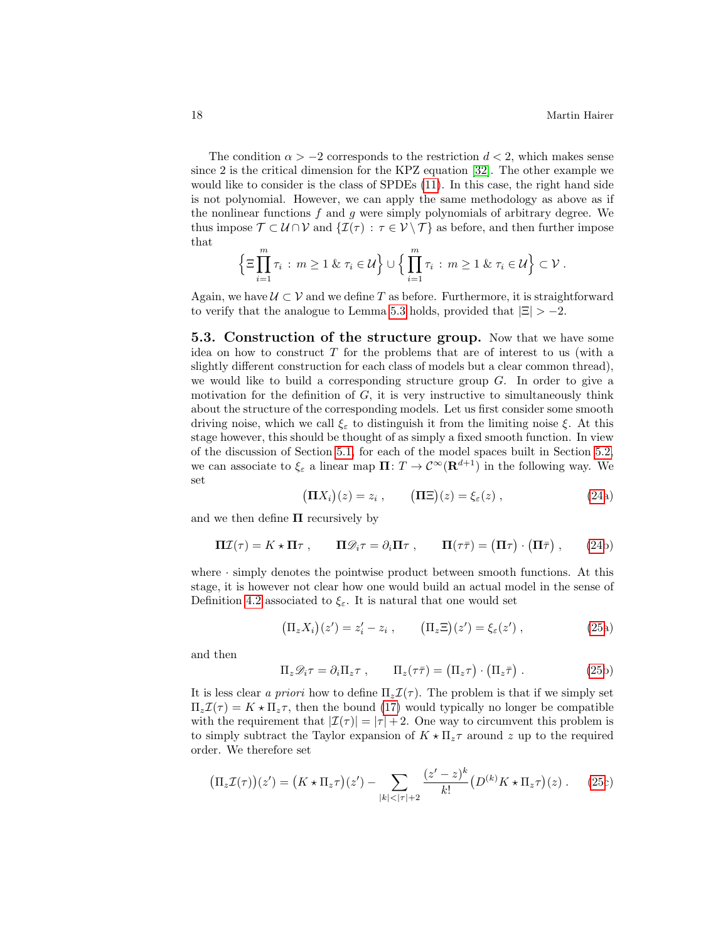The condition  $\alpha > -2$  corresponds to the restriction  $d < 2$ , which makes sense since 2 is the critical dimension for the KPZ equation [\[32\]](#page-26-6). The other example we would like to consider is the class of SPDEs [\(11\)](#page-8-0). In this case, the right hand side is not polynomial. However, we can apply the same methodology as above as if the nonlinear functions  $f$  and  $g$  were simply polynomials of arbitrary degree. We thus impose  $\mathcal{T} \subset \mathcal{U} \cap \mathcal{V}$  and  $\{\mathcal{I}(\tau) : \tau \in \mathcal{V} \setminus \mathcal{T}\}\$ as before, and then further impose that

$$
\left\{\Xi\prod_{i=1}^m\tau_i\,:\,m\geq 1\;\&\;\tau_i\in\mathcal{U}\right\}\cup\left\{\prod_{i=1}^m\tau_i\,:\,m\geq 1\;\&\;\tau_i\in\mathcal{U}\right\}\subset\mathcal{V}\;.
$$

Again, we have  $\mathcal{U} \subset \mathcal{V}$  and we define T as before. Furthermore, it is straightforward to verify that the analogue to Lemma [5.3](#page-16-1) holds, provided that  $|\Xi| > -2$ .

<span id="page-17-2"></span>5.3. Construction of the structure group. Now that we have some idea on how to construct  $T$  for the problems that are of interest to us (with a slightly different construction for each class of models but a clear common thread), we would like to build a corresponding structure group  $G$ . In order to give a motivation for the definition of  $G$ , it is very instructive to simultaneously think about the structure of the corresponding models. Let us first consider some smooth driving noise, which we call  $\xi_{\varepsilon}$  to distinguish it from the limiting noise  $\xi$ . At this stage however, this should be thought of as simply a fixed smooth function. In view of the discussion of Section [5.1,](#page-15-1) for each of the model spaces built in Section [5.2,](#page-16-2) we can associate to  $\xi_{\varepsilon}$  a linear map  $\Pi: T \to C^{\infty}(\mathbf{R}^{d+1})$  in the following way. We set

$$
(\mathbf{\Pi}X_i)(z) = z_i , \qquad (\mathbf{\Pi}\Xi)(z) = \xi_{\varepsilon}(z) , \qquad (24a)
$$

<span id="page-17-1"></span>and we then define  $\Pi$  recursively by

$$
\Pi \mathcal{I}(\tau) = K \star \Pi \tau , \qquad \Pi \mathcal{D}_i \tau = \partial_i \Pi \tau , \qquad \Pi (\tau \bar{\tau}) = (\Pi \tau) \cdot (\Pi \bar{\tau}) , \qquad (24b)
$$

where  $\cdot$  simply denotes the pointwise product between smooth functions. At this stage, it is however not clear how one would build an actual model in the sense of Definition [4.2](#page-11-0) associated to  $\xi_{\varepsilon}$ . It is natural that one would set

<span id="page-17-0"></span>
$$
\left(\Pi_z X_i\right)(z') = z'_i - z_i , \qquad \left(\Pi_z \Xi\right)(z') = \xi_\varepsilon(z') , \qquad (25a)
$$

and then

$$
\Pi_z \mathcal{D}_i \tau = \partial_i \Pi_z \tau , \qquad \Pi_z(\tau \bar{\tau}) = (\Pi_z \tau) \cdot (\Pi_z \bar{\tau}) . \qquad (25b)
$$

It is less clear a priori how to define  $\Pi_z \mathcal{I}(\tau)$ . The problem is that if we simply set  $\Pi_z \mathcal{I}(\tau) = K \star \Pi_z \tau$ , then the bound [\(17\)](#page-11-1) would typically no longer be compatible with the requirement that  $|\mathcal{I}(\tau)| = |\tau| + 2$ . One way to circumvent this problem is to simply subtract the Taylor expansion of  $K \star \Pi_z \tau$  around z up to the required order. We therefore set

$$
\left(\Pi_z \mathcal{I}(\tau)\right)(z') = \left(K \star \Pi_z \tau\right)(z') - \sum_{|k| < |\tau|+2} \frac{(z'-z)^k}{k!} \left(D^{(k)} K \star \Pi_z \tau\right)(z) \,. \tag{25c}
$$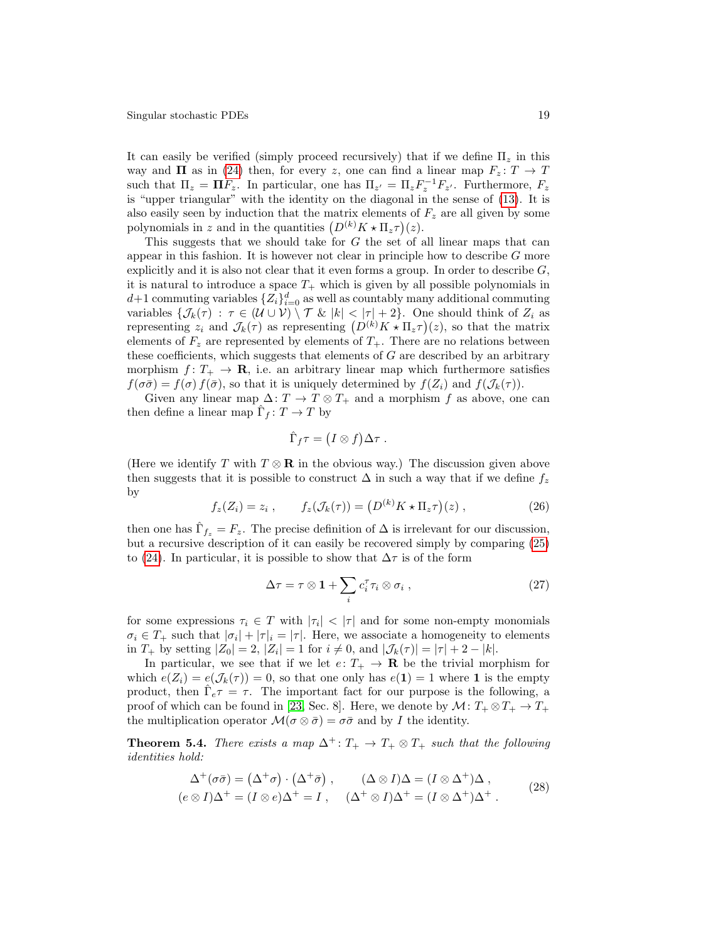It can easily be verified (simply proceed recursively) that if we define  $\Pi_z$  in this way and  $\Pi$  as in [\(24\)](#page-17-1) then, for every z, one can find a linear map  $F_z: T \to T$ such that  $\Pi_z = \Pi F_z$ . In particular, one has  $\Pi_{z'} = \Pi_z F_z^{-1} F_{z'}$ . Furthermore,  $F_z$ is "upper triangular" with the identity on the diagonal in the sense of [\(13\)](#page-10-3). It is also easily seen by induction that the matrix elements of  $F_z$  are all given by some polynomials in z and in the quantities  $(D^{(k)}K \star \Pi_z \tau)(z)$ .

This suggests that we should take for G the set of all linear maps that can appear in this fashion. It is however not clear in principle how to describe  $G$  more explicitly and it is also not clear that it even forms a group. In order to describe  $G$ , it is natural to introduce a space  $T_{+}$  which is given by all possible polynomials in  $d+1$  commuting variables  $\{Z_i\}_{i=0}^d$  as well as countably many additional commuting variables  $\{\mathcal{J}_k(\tau) : \tau \in (\mathcal{U} \cup \mathcal{V}) \setminus \mathcal{T} \& |k| < |\tau| + 2\}$ . One should think of  $Z_i$  as representing  $z_i$  and  $\mathcal{J}_k(\tau)$  as representing  $(D^{(k)}K \star \Pi_z \tau)(z)$ , so that the matrix elements of  $F_z$  are represented by elements of  $T_+$ . There are no relations between these coefficients, which suggests that elements of  $G$  are described by an arbitrary morphism  $f: T_+ \to \mathbf{R}$ , i.e. an arbitrary linear map which furthermore satisfies  $f(\sigma\bar{\sigma}) = f(\sigma) f(\bar{\sigma})$ , so that it is uniquely determined by  $f(Z_i)$  and  $f(\mathcal{J}_k(\tau))$ .

Given any linear map  $\Delta: T \to T \otimes T_+$  and a morphism f as above, one can then define a linear map  $\hat{\Gamma}_f: T \to T$  by

<span id="page-18-1"></span>
$$
\hat{\Gamma}_f \tau = (I \otimes f) \Delta \tau .
$$

(Here we identify T with  $T \otimes \mathbf{R}$  in the obvious way.) The discussion given above then suggests that it is possible to construct  $\Delta$  in such a way that if we define  $f_z$ by

$$
f_z(Z_i) = z_i , \qquad f_z(\mathcal{J}_k(\tau)) = \left( D^{(k)} K \star \Pi_z \tau \right) (z) , \qquad (26)
$$

then one has  $\hat{\Gamma}_{f_z} = F_z$ . The precise definition of  $\Delta$  is irrelevant for our discussion, but a recursive description of it can easily be recovered simply by comparing [\(25\)](#page-17-0) to [\(24\)](#page-17-1). In particular, it is possible to show that  $\Delta \tau$  is of the form

<span id="page-18-2"></span><span id="page-18-0"></span>
$$
\Delta \tau = \tau \otimes \mathbf{1} + \sum_{i} c_i^{\tau} \tau_i \otimes \sigma_i , \qquad (27)
$$

for some expressions  $\tau_i \in T$  with  $|\tau_i| < |\tau|$  and for some non-empty monomials  $\sigma_i \in T_+$  such that  $|\sigma_i| + |\tau|_i = |\tau|$ . Here, we associate a homogeneity to elements in  $T_+$  by setting  $|Z_0| = 2$ ,  $|Z_i| = 1$  for  $i \neq 0$ , and  $|\mathcal{J}_k(\tau)| = |\tau| + 2 - |k|$ .

In particular, we see that if we let  $e: T_+ \to \mathbf{R}$  be the trivial morphism for which  $e(Z_i) = e(\mathcal{J}_k(\tau)) = 0$ , so that one only has  $e(1) = 1$  where 1 is the empty product, then  $\hat{\Gamma}_e \tau = \tau$ . The important fact for our purpose is the following, a proof of which can be found in [\[23,](#page-25-0) Sec. 8]. Here, we denote by  $\mathcal{M}: T_+ \otimes T_+ \to T_+$ the multiplication operator  $\mathcal{M}(\sigma \otimes \bar{\sigma}) = \sigma \bar{\sigma}$  and by I the identity.

**Theorem 5.4.** There exists a map  $\Delta^+$ :  $T_+ \to T_+ \otimes T_+$  such that the following identities hold:

$$
\Delta^+(\sigma\bar{\sigma}) = (\Delta^+\sigma) \cdot (\Delta^+\bar{\sigma}), \qquad (\Delta \otimes I)\Delta = (I \otimes \Delta^+)\Delta,
$$
  
\n
$$
(e \otimes I)\Delta^+ = (I \otimes e)\Delta^+ = I, \qquad (\Delta^+ \otimes I)\Delta^+ = (I \otimes \Delta^+)\Delta^+.
$$
 (28)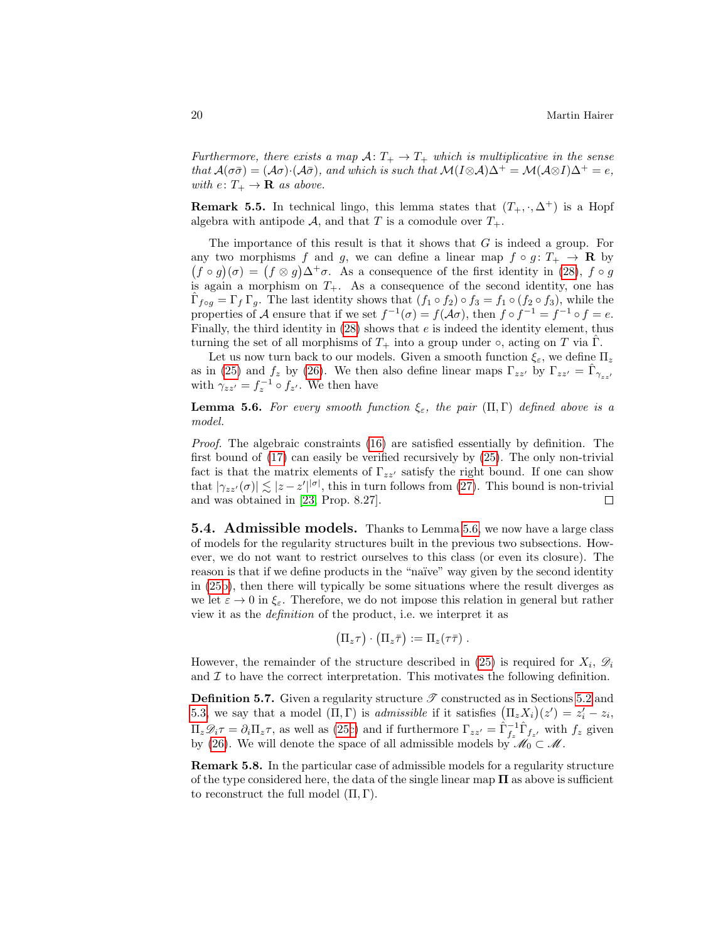Furthermore, there exists a map  $A: T_+ \to T_+$  which is multiplicative in the sense that  $\mathcal{A}(\sigma\bar{\sigma}) = (\mathcal{A}\sigma) \cdot (\mathcal{A}\bar{\sigma})$ , and which is such that  $\mathcal{M}(I \otimes \mathcal{A})\Delta^+ = \mathcal{M}(\mathcal{A} \otimes I)\Delta^+ = e$ , with  $e: T_+ \to \mathbf{R}$  as above.

**Remark 5.5.** In technical lingo, this lemma states that  $(T_+,\cdot,\Delta^+)$  is a Hopf algebra with antipode  $A$ , and that T is a comodule over  $T_+$ .

The importance of this result is that it shows that  $G$  is indeed a group. For any two morphisms f and g, we can define a linear map  $f \circ g : T_+ \to \mathbf{R}$  by  $(f \circ g)(\sigma) = (f \otimes g)\Delta^+\sigma$ . As a consequence of the first identity in [\(28\)](#page-18-0),  $f \circ g$ is again a morphism on  $T_{+}$ . As a consequence of the second identity, one has  $\hat{\Gamma}_{f \circ g} = \Gamma_f \Gamma_g$ . The last identity shows that  $(f_1 \circ f_2) \circ f_3 = f_1 \circ (f_2 \circ f_3)$ , while the properties of A ensure that if we set  $f^{-1}(\sigma) = f(\mathcal{A}\sigma)$ , then  $f \circ f^{-1} = f^{-1} \circ f = e$ . Finally, the third identity in  $(28)$  shows that e is indeed the identity element, thus turning the set of all morphisms of  $T_+$  into a group under  $\circ$ , acting on T via  $\hat{\Gamma}$ .

Let us now turn back to our models. Given a smooth function  $\xi_{\varepsilon}$ , we define  $\Pi_z$ as in [\(25\)](#page-17-0) and  $f_z$  by [\(26\)](#page-18-1). We then also define linear maps  $\Gamma_{zz}$  by  $\Gamma_{zz'} = \hat{\Gamma}_{\gamma_{zz'}}$ with  $\gamma_{zz'} = f_z^{-1} \circ f_{z'}$ . We then have

<span id="page-19-0"></span>**Lemma 5.6.** For every smooth function  $\xi_{\varepsilon}$ , the pair  $(\Pi, \Gamma)$  defined above is a model.

Proof. The algebraic constraints [\(16\)](#page-11-2) are satisfied essentially by definition. The first bound of [\(17\)](#page-11-1) can easily be verified recursively by [\(25\)](#page-17-0). The only non-trivial fact is that the matrix elements of  $\Gamma_{zz}$  satisfy the right bound. If one can show that  $|\gamma_{zz'}(\sigma)| \lesssim |z - z'|^{|\sigma|}$ , this in turn follows from [\(27\)](#page-18-2). This bound is non-trivial and was obtained in [\[23,](#page-25-0) Prop. 8.27].  $\Box$ 

**5.4.** Admissible models. Thanks to Lemma [5.6,](#page-19-0) we now have a large class of models for the regularity structures built in the previous two subsections. However, we do not want to restrict ourselves to this class (or even its closure). The reason is that if we define products in the "naïve" way given by the second identity in [\(25b\)](#page-17-0), then there will typically be some situations where the result diverges as we let  $\varepsilon \to 0$  in  $\xi_{\varepsilon}$ . Therefore, we do not impose this relation in general but rather view it as the definition of the product, i.e. we interpret it as

 $(\Pi_z \tau) \cdot (\Pi_z \bar{\tau}) := \Pi_z(\tau \bar{\tau})$ .

However, the remainder of the structure described in [\(25\)](#page-17-0) is required for  $X_i$ ,  $\mathscr{D}_i$ and  $\mathcal I$  to have the correct interpretation. This motivates the following definition.

**Definition 5.7.** Given a regularity structure  $\mathscr T$  constructed as in Sections [5.2](#page-16-2) and [5.3,](#page-17-2) we say that a model  $(\Pi, \Gamma)$  is *admissible* if it satisfies  $(\Pi_z X_i)(z') = z'_i - z_i$ ,  $\Pi_z \mathscr{D}_i \tau = \partial_i \Pi_z \tau$ , as well as [\(25c\)](#page-17-0) and if furthermore  $\Gamma_{zz'} = \hat{\Gamma}_{f_z}^{-1} \hat{\Gamma}_{f_{z'}}$  with  $f_z$  given by [\(26\)](#page-18-1). We will denote the space of all admissible models by  $\mathcal{M}_0 \subset \mathcal{M}$ .

<span id="page-19-1"></span>Remark 5.8. In the particular case of admissible models for a regularity structure of the type considered here, the data of the single linear map  $\Pi$  as above is sufficient to reconstruct the full model  $(\Pi, \Gamma)$ .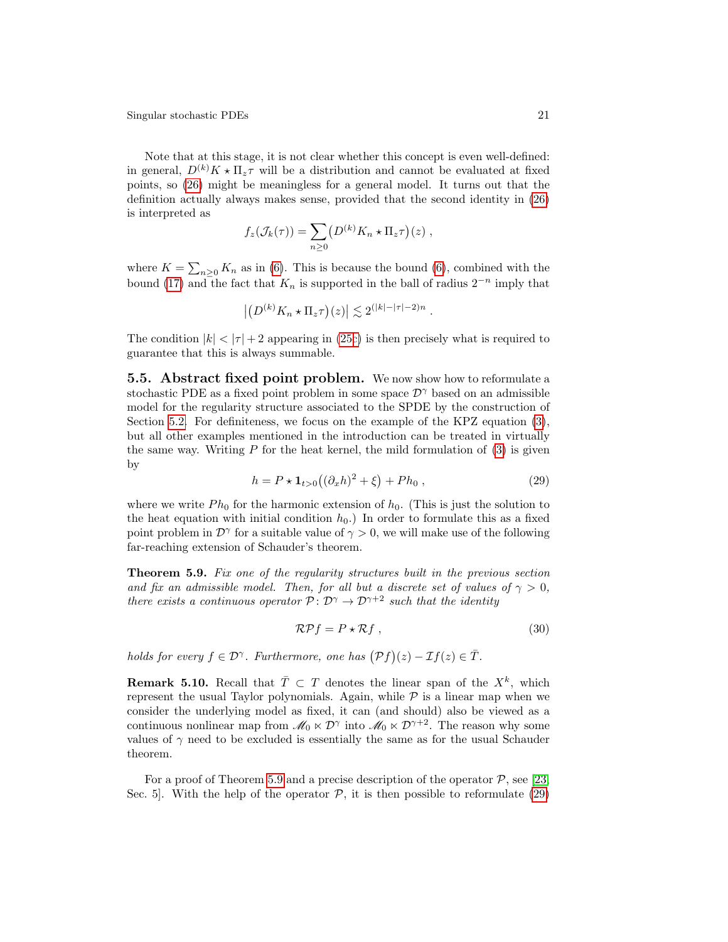Note that at this stage, it is not clear whether this concept is even well-defined: in general,  $D^{(k)}K \star \Pi_z \tau$  will be a distribution and cannot be evaluated at fixed points, so [\(26\)](#page-18-1) might be meaningless for a general model. It turns out that the definition actually always makes sense, provided that the second identity in [\(26\)](#page-18-1) is interpreted as

$$
f_z(\mathcal{J}_k(\tau)) = \sum_{n\geq 0} \left( D^{(k)} K_n \star \Pi_z \tau \right) (z) ,
$$

where  $K = \sum_{n\geq 0} K_n$  as in [\(6\)](#page-4-3). This is because the bound (6), combined with the bound [\(17\)](#page-11-1) and the fact that  $K_n$  is supported in the ball of radius  $2^{-n}$  imply that

$$
\left| \left( D^{(k)} K_n \star \Pi_z \tau \right) (z) \right| \lesssim 2^{(|k|-|\tau|-2)n} .
$$

The condition  $|k| < |\tau| + 2$  appearing in [\(25c\)](#page-17-0) is then precisely what is required to guarantee that this is always summable.

**5.5. Abstract fixed point problem.** We now show how to reformulate a stochastic PDE as a fixed point problem in some space  $\mathcal{D}^{\gamma}$  based on an admissible model for the regularity structure associated to the SPDE by the construction of Section [5.2.](#page-16-2) For definiteness, we focus on the example of the KPZ equation [\(3\)](#page-1-0), but all other examples mentioned in the introduction can be treated in virtually the same way. Writing  $P$  for the heat kernel, the mild formulation of  $(3)$  is given by

<span id="page-20-1"></span>
$$
h = P \star \mathbf{1}_{t>0} ((\partial_x h)^2 + \xi) + Ph_0 , \qquad (29)
$$

where we write  $Ph_0$  for the harmonic extension of  $h_0$ . (This is just the solution to the heat equation with initial condition  $h_0$ .) In order to formulate this as a fixed point problem in  $\mathcal{D}^{\gamma}$  for a suitable value of  $\gamma > 0$ , we will make use of the following far-reaching extension of Schauder's theorem.

<span id="page-20-0"></span>Theorem 5.9. Fix one of the regularity structures built in the previous section and fix an admissible model. Then, for all but a discrete set of values of  $\gamma > 0$ , there exists a continuous operator  $P: \mathcal{D}^{\gamma} \to \mathcal{D}^{\gamma+2}$  such that the identity

<span id="page-20-2"></span>
$$
\mathcal{R}Pf = P \star \mathcal{R}f \,,\tag{30}
$$

holds for every  $f \in \mathcal{D}^{\gamma}$ . Furthermore, one has  $(\mathcal{P}f)(z) - \mathcal{I}f(z) \in \overline{T}$ .

**Remark 5.10.** Recall that  $\overline{T} \subset T$  denotes the linear span of the  $X^k$ , which represent the usual Taylor polynomials. Again, while  $P$  is a linear map when we consider the underlying model as fixed, it can (and should) also be viewed as a continuous nonlinear map from  $\mathscr{M}_0 \ltimes \mathcal{D}^\gamma$  into  $\mathscr{M}_0 \ltimes \mathcal{D}^{\gamma+2}$ . The reason why some values of  $\gamma$  need to be excluded is essentially the same as for the usual Schauder theorem.

For a proof of Theorem [5.9](#page-20-0) and a precise description of the operator  $P$ , see [\[23,](#page-25-0) Sec. 5. With the help of the operator  $\mathcal{P}$ , it is then possible to reformulate [\(29\)](#page-20-1)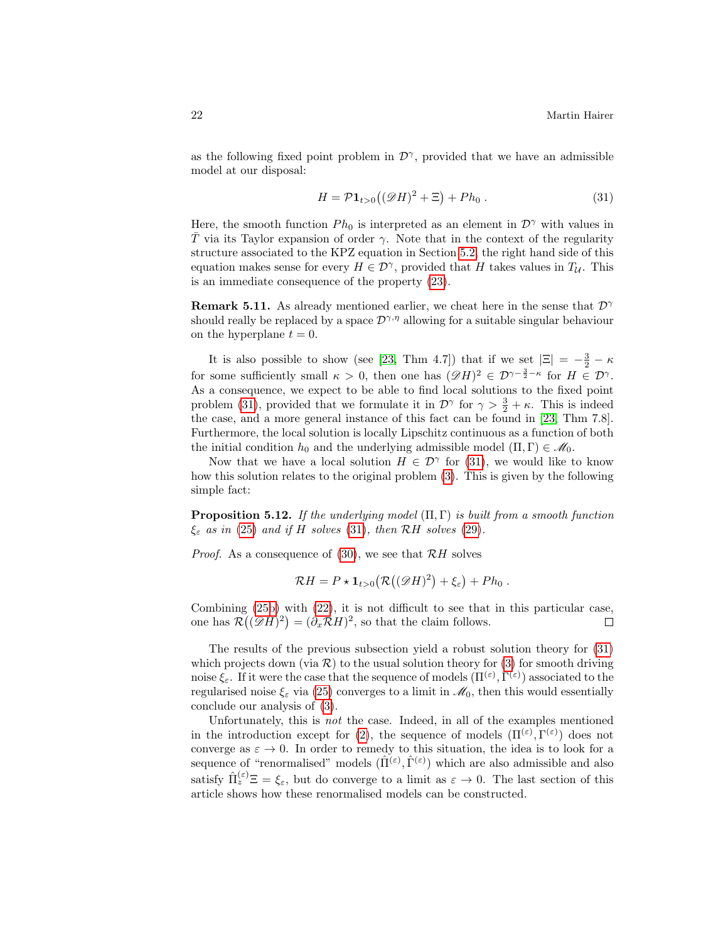as the following fixed point problem in  $\mathcal{D}^{\gamma}$ , provided that we have an admissible model at our disposal:

<span id="page-21-0"></span>
$$
H = \mathcal{P} \mathbf{1}_{t>0} \big( (\mathcal{D}H)^2 + \Xi \big) + Ph_0 \,. \tag{31}
$$

Here, the smooth function  $Ph_0$  is interpreted as an element in  $\mathcal{D}^{\gamma}$  with values in T via its Taylor expansion of order  $\gamma$ . Note that in the context of the regularity structure associated to the KPZ equation in Section [5.2,](#page-16-2) the right hand side of this equation makes sense for every  $H \in \mathcal{D}^{\gamma}$ , provided that H takes values in  $T_{\mathcal{U}}$ . This is an immediate consequence of the property [\(23\)](#page-16-0).

**Remark 5.11.** As already mentioned earlier, we cheat here in the sense that  $\mathcal{D}^{\gamma}$ should really be replaced by a space  $\mathcal{D}^{\gamma,\eta}$  allowing for a suitable singular behaviour on the hyperplane  $t = 0$ .

It is also possible to show (see [\[23,](#page-25-0) Thm 4.7]) that if we set  $|\Xi| = -\frac{3}{2} - \kappa$ for some sufficiently small  $\kappa > 0$ , then one has  $(\mathscr{D}H)^2 \in \mathcal{D}^{\gamma-\frac{3}{2}-\kappa}$  for  $H \in \mathcal{D}^{\gamma}$ . As a consequence, we expect to be able to find local solutions to the fixed point problem [\(31\)](#page-21-0), provided that we formulate it in  $\mathcal{D}^{\gamma}$  for  $\gamma > \frac{3}{2} + \kappa$ . This is indeed the case, and a more general instance of this fact can be found in [\[23,](#page-25-0) Thm 7.8]. Furthermore, the local solution is locally Lipschitz continuous as a function of both the initial condition  $h_0$  and the underlying admissible model  $(\Pi, \Gamma) \in \mathcal{M}_0$ .

Now that we have a local solution  $H \in \mathcal{D}^{\gamma}$  for [\(31\)](#page-21-0), we would like to know how this solution relates to the original problem [\(3\)](#page-1-0). This is given by the following simple fact:

<span id="page-21-1"></span>**Proposition 5.12.** If the underlying model  $(\Pi, \Gamma)$  is built from a smooth function  $\xi_{\varepsilon}$  as in [\(25\)](#page-17-0) and if H solves [\(31\)](#page-21-0), then RH solves [\(29\)](#page-20-1).

*Proof.* As a consequence of  $(30)$ , we see that  $\mathcal{R}H$  solves

$$
\mathcal{R}H = P \star \mathbf{1}_{t>0} \big( \mathcal{R}((\mathscr{D}H)^2) + \xi_{\varepsilon} \big) + Ph_0.
$$

Combining [\(25b\)](#page-17-0) with [\(22\)](#page-14-1), it is not difficult to see that in this particular case, one has  $\mathcal{R}((\mathscr{D}H)^2) = (\partial_x \mathcal{R}H)^2$ , so that the claim follows.  $\Box$ 

The results of the previous subsection yield a robust solution theory for [\(31\)](#page-21-0) which projects down (via  $\mathcal{R}$ ) to the usual solution theory for [\(3\)](#page-1-0) for smooth driving noise  $\xi_{\varepsilon}$ . If it were the case that the sequence of models  $(\Pi^{(\varepsilon)}, \Gamma^{(\varepsilon)})$  associated to the regularised noise  $\xi_{\varepsilon}$  via [\(25\)](#page-17-0) converges to a limit in  $\mathcal{M}_0$ , then this would essentially conclude our analysis of [\(3\)](#page-1-0).

Unfortunately, this is not the case. Indeed, in all of the examples mentioned in the introduction except for [\(2\)](#page-0-1), the sequence of models  $(\Pi^{(\varepsilon)}, \Gamma^{(\varepsilon)})$  does not converge as  $\varepsilon \to 0$ . In order to remedy to this situation, the idea is to look for a sequence of "renormalised" models  $(\hat{\Pi}^{(\varepsilon)}, \hat{\Gamma}^{(\varepsilon)})$  which are also admissible and also satisfy  $\hat{\Pi}_z^{(\varepsilon)} \Xi = \xi_{\varepsilon}$ , but do converge to a limit as  $\varepsilon \to 0$ . The last section of this article shows how these renormalised models can be constructed.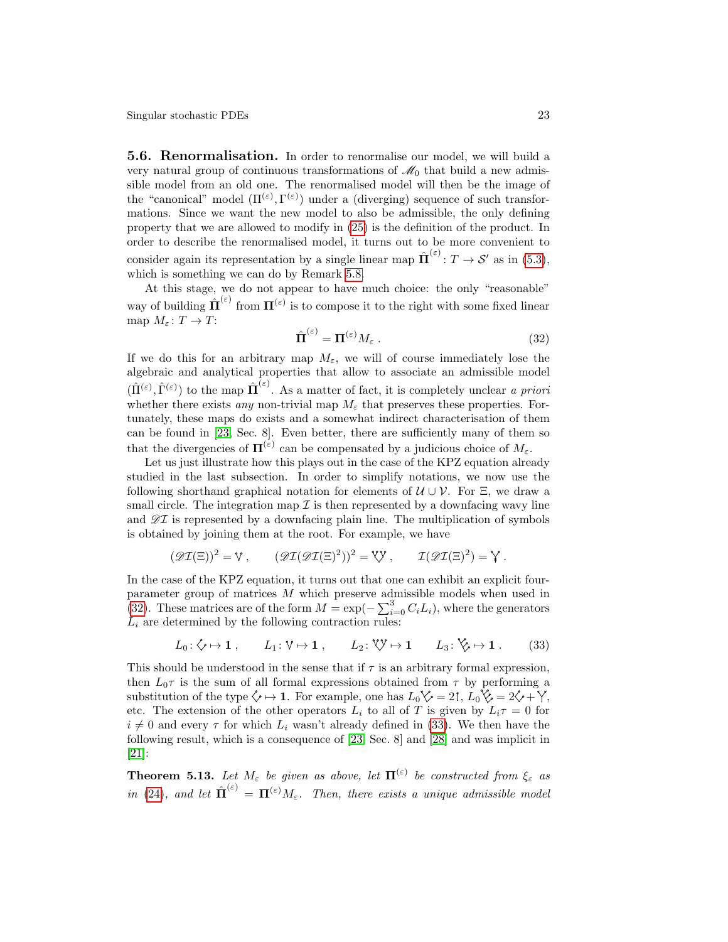**5.6. Renormalisation.** In order to renormalise our model, we will build a very natural group of continuous transformations of  $\mathcal{M}_0$  that build a new admissible model from an old one. The renormalised model will then be the image of the "canonical" model  $(\Pi^{(\varepsilon)}, \Gamma^{(\varepsilon)})$  under a (diverging) sequence of such transformations. Since we want the new model to also be admissible, the only defining property that we are allowed to modify in [\(25\)](#page-17-0) is the definition of the product. In order to describe the renormalised model, it turns out to be more convenient to consider again its representation by a single linear map  $\hat{\Pi}^{(\varepsilon)}: T \to \mathcal{S}'$  as in [\(5.3\)](#page-17-2), which is something we can do by Remark [5.8.](#page-19-1)

At this stage, we do not appear to have much choice: the only "reasonable" way of building  $\hat{\Pi}^{(\varepsilon)}$  from  $\Pi^{(\varepsilon)}$  is to compose it to the right with some fixed linear map  $M_{\varepsilon} \colon T \to T$ :

<span id="page-22-0"></span>
$$
\hat{\Pi}^{(\varepsilon)} = \Pi^{(\varepsilon)} M_{\varepsilon} . \tag{32}
$$

If we do this for an arbitrary map  $M_{\varepsilon}$ , we will of course immediately lose the algebraic and analytical properties that allow to associate an admissible model  $(\hat{\Pi}^{(\varepsilon)}, \hat{\Gamma}^{(\varepsilon)})$  to the map  $\hat{\Pi}^{(\varepsilon)}$ . As a matter of fact, it is completely unclear a priori whether there exists any non-trivial map  $M_{\varepsilon}$  that preserves these properties. Fortunately, these maps do exists and a somewhat indirect characterisation of them can be found in [\[23,](#page-25-0) Sec. 8]. Even better, there are sufficiently many of them so that the divergencies of  $\Pi^{(\varepsilon)}$  can be compensated by a judicious choice of  $M_{\varepsilon}$ .

Let us just illustrate how this plays out in the case of the KPZ equation already studied in the last subsection. In order to simplify notations, we now use the following shorthand graphical notation for elements of  $\mathcal{U} \cup \mathcal{V}$ . For  $\Xi$ , we draw a small circle. The integration map  $\mathcal I$  is then represented by a downfacing wavy line and  $\mathscr{D}I$  is represented by a downfacing plain line. The multiplication of symbols is obtained by joining them at the root. For example, we have

$$
(\mathscr{D}\mathcal{I}(\Xi))^2 = \mathbb{V}, \qquad (\mathscr{D}\mathcal{I}(\mathcal{D}\mathcal{I}(\Xi)^2))^2 = \mathbb{V}, \qquad \mathcal{I}(\mathscr{D}\mathcal{I}(\Xi)^2) = \mathbb{Y}.
$$

In the case of the KPZ equation, it turns out that one can exhibit an explicit fourparameter group of matrices M which preserve admissible models when used in [\(32\)](#page-22-0). These matrices are of the form  $M = \exp(-\sum_{i=0}^{3} C_i L_i)$ , where the generators  $L_i$  are determined by the following contraction rules:

<span id="page-22-1"></span>
$$
L_0: \diamondsuit \mapsto \mathbf{1} \,, \qquad L_1: \mathbb{V} \mapsto \mathbf{1} \,, \qquad L_2: \mathbb{V} \mapsto \mathbf{1} \qquad L_3: \mathbb{V}_e \mapsto \mathbf{1} \,. \tag{33}
$$

This should be understood in the sense that if  $\tau$  is an arbitrary formal expression, then  $L_0\tau$  is the sum of all formal expressions obtained from  $\tau$  by performing a substitution of the type  $\Diamond \mapsto 1$ . For example, one has  $L_0 \Diamond \phi = 2$ ,  $L_0 \Diamond \phi = 2 \Diamond + \Diamond$ , etc. The extension of the other operators  $L_i$  to all of T is given by  $L_i \tau = 0$  for  $i \neq 0$  and every  $\tau$  for which  $L_i$  wasn't already defined in [\(33\)](#page-22-1). We then have the following result, which is a consequence of [\[23,](#page-25-0) Sec. 8] and [\[28\]](#page-26-20) and was implicit in [\[21\]](#page-25-4):

**Theorem 5.13.** Let  $M_{\varepsilon}$  be given as above, let  $\Pi^{(\varepsilon)}$  be constructed from  $\xi_{\varepsilon}$  as in [\(24\)](#page-17-1), and let  $\hat{\Pi}^{(\varepsilon)} = \Pi^{(\varepsilon)} M_{\varepsilon}$ . Then, there exists a unique admissible model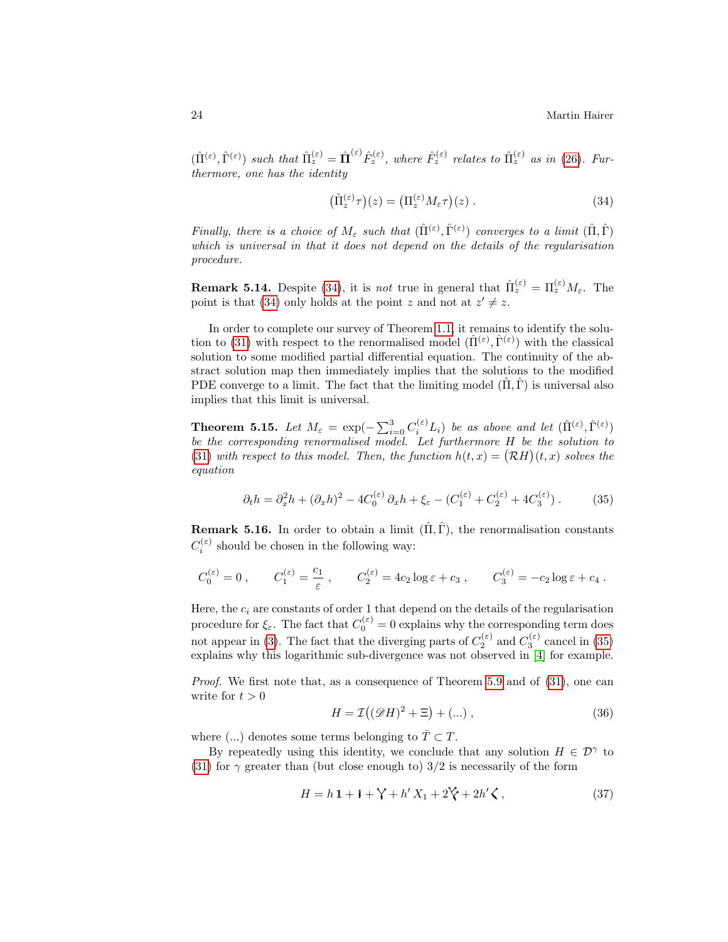$(\hat{\Pi}^{(\varepsilon)}, \hat{\Gamma}^{(\varepsilon)})$  such that  $\hat{\Pi}_{z}^{(\varepsilon)} = \hat{\Pi}^{(\varepsilon)} \hat{F}_{z}^{(\varepsilon)}$ , where  $\hat{F}_{z}^{(\varepsilon)}$  relates to  $\hat{\Pi}_{z}^{(\varepsilon)}$  as in [\(26\)](#page-18-1). Furthermore, one has the identity

<span id="page-23-0"></span>
$$
\left(\hat{\Pi}_z^{(\varepsilon)}\tau\right)(z) = \left(\Pi_z^{(\varepsilon)}M_{\varepsilon}\tau\right)(z) \,. \tag{34}
$$

Finally, there is a choice of  $M_{\varepsilon}$  such that  $(\hat{\Pi}^{(\varepsilon)}, \hat{\Gamma}^{(\varepsilon)})$  converges to a limit  $(\hat{\Pi}, \hat{\Gamma})$ which is universal in that it does not depend on the details of the regularisation procedure.

**Remark 5.14.** Despite [\(34\)](#page-23-0), it is *not* true in general that  $\hat{\Pi}_z^{(\varepsilon)} = \Pi_z^{(\varepsilon)} M_{\varepsilon}$ . The point is that [\(34\)](#page-23-0) only holds at the point z and not at  $z' \neq z$ .

In order to complete our survey of Theorem [1.1,](#page-2-1) it remains to identify the solu-tion to [\(31\)](#page-21-0) with respect to the renormalised model  $(\hat{\Pi}^{(\varepsilon)}, \hat{\Gamma}^{(\varepsilon)})$  with the classical solution to some modified partial differential equation. The continuity of the abstract solution map then immediately implies that the solutions to the modified PDE converge to a limit. The fact that the limiting model  $(\hat{\Pi}, \hat{\Gamma})$  is universal also implies that this limit is universal.

**Theorem 5.15.** Let  $M_{\varepsilon} = \exp(-\sum_{i=0}^{3} C_i^{(\varepsilon)} L_i)$  be as above and let  $(\hat{\Pi}^{(\varepsilon)}, \hat{\Gamma}^{(\varepsilon)})$ be the corresponding renormalised model. Let furthermore H be the solution to [\(31\)](#page-21-0) with respect to this model. Then, the function  $h(t, x) = (\mathcal{R}H)(t, x)$  solves the equation

$$
\partial_t h = \partial_x^2 h + (\partial_x h)^2 - 4C_0^{(\varepsilon)} \partial_x h + \xi_{\varepsilon} - (C_1^{(\varepsilon)} + C_2^{(\varepsilon)} + 4C_3^{(\varepsilon)}) . \tag{35}
$$

**Remark 5.16.** In order to obtain a limit  $(\hat{\Pi}, \hat{\Gamma})$ , the renormalisation constants  $C_i^{(\varepsilon)}$  should be chosen in the following way:

$$
C_0^{(\varepsilon)} = 0
$$
,  $C_1^{(\varepsilon)} = \frac{c_1}{\varepsilon}$ ,  $C_2^{(\varepsilon)} = 4c_2 \log \varepsilon + c_3$ ,  $C_3^{(\varepsilon)} = -c_2 \log \varepsilon + c_4$ .

Here, the  $c_i$  are constants of order 1 that depend on the details of the regularisation procedure for  $\xi_{\varepsilon}$ . The fact that  $C_0^{(\varepsilon)} = 0$  explains why the corresponding term does not appear in [\(3\)](#page-1-0). The fact that the diverging parts of  $C_2^{(\varepsilon)}$  and  $C_3^{(\varepsilon)}$  cancel in [\(35\)](#page-23-1) explains why this logarithmic sub-divergence was not observed in [\[4\]](#page-25-2) for example.

Proof. We first note that, as a consequence of Theorem [5.9](#page-20-0) and of [\(31\)](#page-21-0), one can write for  $t > 0$ 

<span id="page-23-2"></span><span id="page-23-1"></span>
$$
H = \mathcal{I}((\mathcal{D}H)^2 + \Xi) + (\dots), \qquad (36)
$$

where (...) denotes some terms belonging to  $\overline{T} \subset T$ .

By repeatedly using this identity, we conclude that any solution  $H \in \mathcal{D}^{\gamma}$  to [\(31\)](#page-21-0) for  $\gamma$  greater than (but close enough to) 3/2 is necessarily of the form

$$
H = h \mathbf{1} + \mathbf{i} + \mathbf{j}' + h' X_1 + 2 \mathbf{k}' + 2h' \mathbf{k} \,, \tag{37}
$$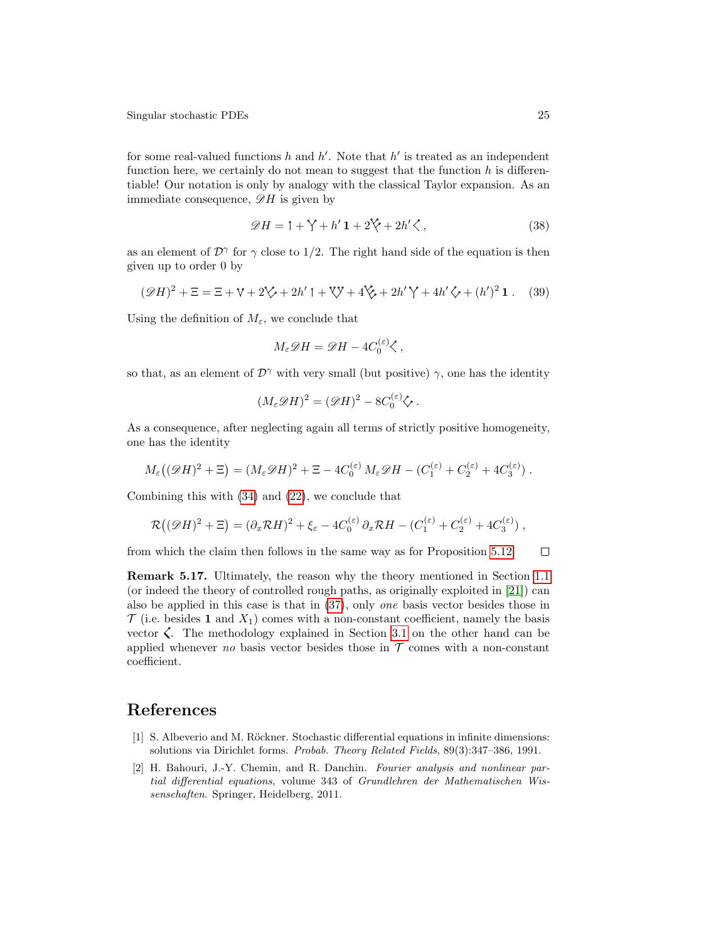for some real-valued functions  $h$  and  $h'$ . Note that  $h'$  is treated as an independent function here, we certainly do not mean to suggest that the function  $h$  is differentiable! Our notation is only by analogy with the classical Taylor expansion. As an immediate consequence,  $\mathscr{D}H$  is given by

$$
\mathscr{D}H = \mathbf{1} + \mathbf{\hat{y}} + h'\mathbf{1} + 2\mathbf{\hat{y}} + 2h'\mathbf{\hat{\zeta}},\tag{38}
$$

as an element of  $\mathcal{D}^{\gamma}$  for  $\gamma$  close to 1/2. The right hand side of the equation is then given up to order 0 by

$$
(\mathscr{D}H)^{2} + \Xi = \Xi + \mathbb{V} + 2\mathbb{V} + 2h' \mathbb{I} + \mathbb{V}\mathbb{V} + 4\mathbb{V} + 4h' \mathbb{V} + 4h' \mathbb{V} + (h')^{2} \mathbf{1}. \tag{39}
$$

Using the definition of  $M_{\varepsilon}$ , we conclude that

$$
M_{\varepsilon} \mathscr{D} H = \mathscr{D} H - 4C_0^{(\varepsilon)} \zeta ,
$$

so that, as an element of  $\mathcal{D}^{\gamma}$  with very small (but positive)  $\gamma$ , one has the identity

$$
(M_{\varepsilon} \mathscr{D} H)^2 = (\mathscr{D} H)^2 - 8C_0^{(\varepsilon)} \mathscr{C}.
$$

As a consequence, after neglecting again all terms of strictly positive homogeneity, one has the identity

$$
M_{\varepsilon}((\mathscr{D}H)^2 + \Xi) = (M_{\varepsilon}\mathscr{D}H)^2 + \Xi - 4C_0^{(\varepsilon)}M_{\varepsilon}\mathscr{D}H - (C_1^{(\varepsilon)} + C_2^{(\varepsilon)} + 4C_3^{(\varepsilon)}) .
$$

Combining this with [\(34\)](#page-23-0) and [\(22\)](#page-14-1), we conclude that

$$
\mathcal{R}((\mathscr{D}H)^2 + \Xi) = (\partial_x \mathcal{R}H)^2 + \xi_{\varepsilon} - 4C_0^{(\varepsilon)} \partial_x \mathcal{R}H - (C_1^{(\varepsilon)} + C_2^{(\varepsilon)} + 4C_3^{(\varepsilon)}),
$$

 $\Box$ from which the claim then follows in the same way as for Proposition [5.12.](#page-21-1)

<span id="page-24-0"></span>Remark 5.17. Ultimately, the reason why the theory mentioned in Section [1.1](#page-2-2) (or indeed the theory of controlled rough paths, as originally exploited in [\[21\]](#page-25-4)) can also be applied in this case is that in [\(37\)](#page-23-2), only one basis vector besides those in  $\mathcal T$  (i.e. besides 1 and  $X_1$ ) comes with a non-constant coefficient, namely the basis vector  $\zeta$ . The methodology explained in Section [3.1](#page-7-0) on the other hand can be applied whenever no basis vector besides those in  $\mathcal T$  comes with a non-constant coefficient.

## References

- <span id="page-24-1"></span>[1] S. Albeverio and M. Röckner. Stochastic differential equations in infinite dimensions: solutions via Dirichlet forms. Probab. Theory Related Fields, 89(3):347–386, 1991.
- <span id="page-24-2"></span>[2] H. Bahouri, J.-Y. Chemin, and R. Danchin. Fourier analysis and nonlinear partial differential equations, volume 343 of Grundlehren der Mathematischen Wissenschaften. Springer, Heidelberg, 2011.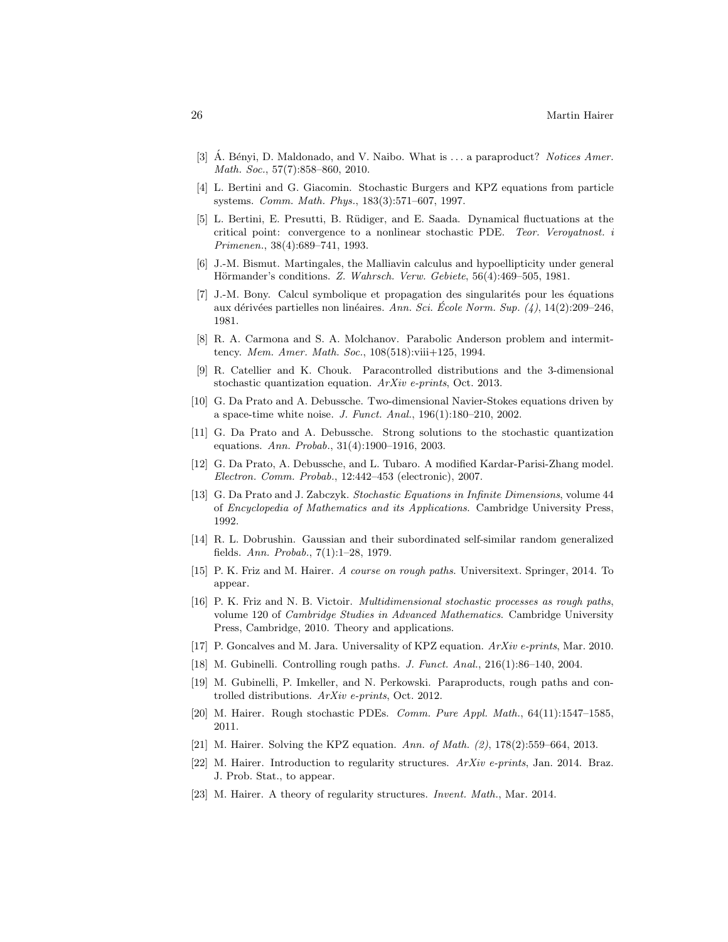- <span id="page-25-14"></span>[3]  $\AA$ . Bényi, D. Maldonado, and V. Naibo. What is  $\ldots$  a paraproduct? Notices Amer. Math. Soc., 57(7):858–860, 2010.
- <span id="page-25-2"></span>[4] L. Bertini and G. Giacomin. Stochastic Burgers and KPZ equations from particle systems. Comm. Math. Phys., 183(3):571–607, 1997.
- <span id="page-25-7"></span>[5] L. Bertini, E. Presutti, B. R¨udiger, and E. Saada. Dynamical fluctuations at the critical point: convergence to a nonlinear stochastic PDE. Teor. Veroyatnost. i Primenen., 38(4):689–741, 1993.
- <span id="page-25-18"></span>[6] J.-M. Bismut. Martingales, the Malliavin calculus and hypoellipticity under general Hörmander's conditions. Z. Wahrsch. Verw. Gebiete, 56(4):469–505, 1981.
- <span id="page-25-13"></span>[7] J.-M. Bony. Calcul symbolique et propagation des singularités pour les équations aux dérivées partielles non linéaires. Ann. Sci. École Norm. Sup.  $(4)$ , 14(2):209–246, 1981.
- <span id="page-25-11"></span>[8] R. A. Carmona and S. A. Molchanov. Parabolic Anderson problem and intermittency. Mem. Amer. Math. Soc., 108(518):viii+125, 1994.
- [9] R. Catellier and K. Chouk. Paracontrolled distributions and the 3-dimensional stochastic quantization equation. ArXiv e-prints, Oct. 2013.
- <span id="page-25-8"></span>[10] G. Da Prato and A. Debussche. Two-dimensional Navier-Stokes equations driven by a space-time white noise. J. Funct. Anal., 196(1):180–210, 2002.
- <span id="page-25-9"></span>[11] G. Da Prato and A. Debussche. Strong solutions to the stochastic quantization equations. Ann. Probab., 31(4):1900–1916, 2003.
- <span id="page-25-10"></span>[12] G. Da Prato, A. Debussche, and L. Tubaro. A modified Kardar-Parisi-Zhang model. Electron. Comm. Probab., 12:442–453 (electronic), 2007.
- <span id="page-25-16"></span>[13] G. Da Prato and J. Zabczyk. Stochastic Equations in Infinite Dimensions, volume 44 of Encyclopedia of Mathematics and its Applications. Cambridge University Press, 1992.
- <span id="page-25-15"></span>[14] R. L. Dobrushin. Gaussian and their subordinated self-similar random generalized fields. Ann. Probab., 7(1):1–28, 1979.
- <span id="page-25-6"></span>[15] P. K. Friz and M. Hairer. A course on rough paths. Universitext. Springer, 2014. To appear.
- <span id="page-25-17"></span>[16] P. K. Friz and N. B. Victoir. Multidimensional stochastic processes as rough paths, volume 120 of Cambridge Studies in Advanced Mathematics. Cambridge University Press, Cambridge, 2010. Theory and applications.
- <span id="page-25-3"></span>[17] P. Goncalves and M. Jara. Universality of KPZ equation. ArXiv e-prints, Mar. 2010.
- <span id="page-25-5"></span>[18] M. Gubinelli. Controlling rough paths. J. Funct. Anal., 216(1):86–140, 2004.
- <span id="page-25-12"></span>[19] M. Gubinelli, P. Imkeller, and N. Perkowski. Paraproducts, rough paths and controlled distributions. ArXiv e-prints, Oct. 2012.
- <span id="page-25-1"></span>[20] M. Hairer. Rough stochastic PDEs. Comm. Pure Appl. Math., 64(11):1547–1585, 2011.
- <span id="page-25-4"></span>[21] M. Hairer. Solving the KPZ equation. Ann. of Math. (2), 178(2):559–664, 2013.
- <span id="page-25-19"></span>[22] M. Hairer. Introduction to regularity structures.  $ArXiv$  e-prints, Jan. 2014. Braz. J. Prob. Stat., to appear.
- <span id="page-25-0"></span>[23] M. Hairer. A theory of regularity structures. Invent. Math., Mar. 2014.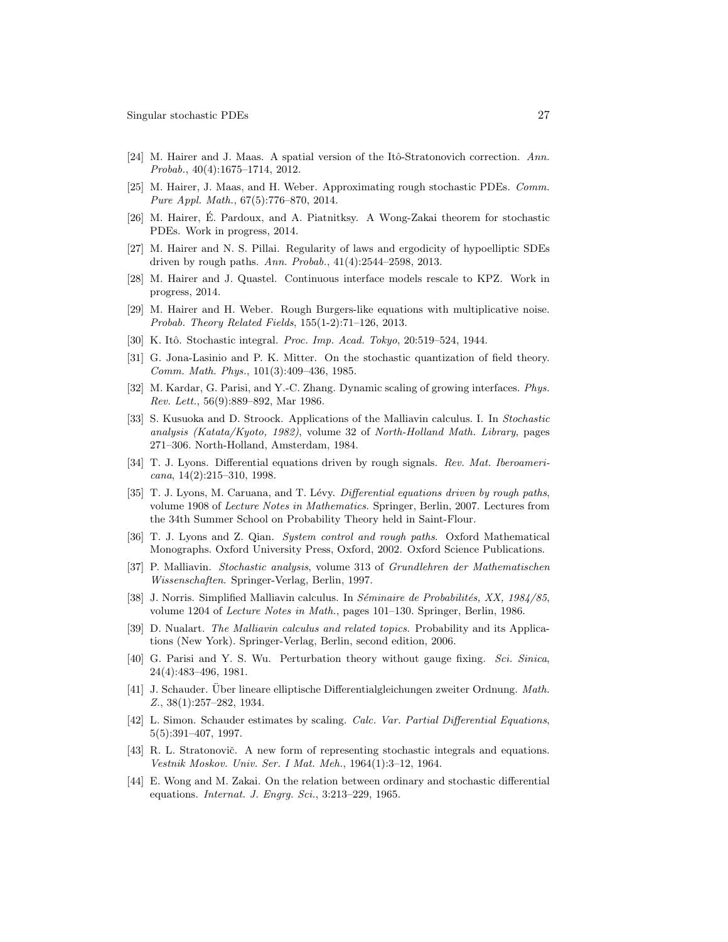- <span id="page-26-0"></span>[24] M. Hairer and J. Maas. A spatial version of the Itô-Stratonovich correction. Ann. Probab., 40(4):1675–1714, 2012.
- <span id="page-26-2"></span>[25] M. Hairer, J. Maas, and H. Weber. Approximating rough stochastic PDEs. Comm. Pure Appl. Math., 67(5):776–870, 2014.
- <span id="page-26-14"></span>[26] M. Hairer, E. Pardoux, and A. Piatnitksy. A Wong-Zakai theorem for stochastic ´ PDEs. Work in progress, 2014.
- <span id="page-26-17"></span>[27] M. Hairer and N. S. Pillai. Regularity of laws and ergodicity of hypoelliptic SDEs driven by rough paths. Ann. Probab., 41(4):2544–2598, 2013.
- <span id="page-26-20"></span>[28] M. Hairer and J. Quastel. Continuous interface models rescale to KPZ. Work in progress, 2014.
- <span id="page-26-1"></span>[29] M. Hairer and H. Weber. Rough Burgers-like equations with multiplicative noise. Probab. Theory Related Fields, 155(1-2):71–126, 2013.
- <span id="page-26-3"></span>[30] K. Itô. Stochastic integral. Proc. Imp. Acad. Tokyo, 20:519–524, 1944.
- <span id="page-26-13"></span>[31] G. Jona-Lasinio and P. K. Mitter. On the stochastic quantization of field theory. Comm. Math. Phys., 101(3):409–436, 1985.
- <span id="page-26-6"></span>[32] M. Kardar, G. Parisi, and Y.-C. Zhang. Dynamic scaling of growing interfaces. Phys. Rev. Lett., 56(9):889–892, Mar 1986.
- <span id="page-26-18"></span>[33] S. Kusuoka and D. Stroock. Applications of the Malliavin calculus. I. In Stochastic analysis (Katata/Kyoto, 1982), volume 32 of North-Holland Math. Library, pages 271–306. North-Holland, Amsterdam, 1984.
- <span id="page-26-7"></span>[34] T. J. Lyons. Differential equations driven by rough signals. Rev. Mat. Iberoamericana, 14(2):215–310, 1998.
- <span id="page-26-15"></span>[35] T. J. Lyons, M. Caruana, and T. Lévy. Differential equations driven by rough paths, volume 1908 of Lecture Notes in Mathematics. Springer, Berlin, 2007. Lectures from the 34th Summer School on Probability Theory held in Saint-Flour.
- <span id="page-26-16"></span>[36] T. J. Lyons and Z. Qian. System control and rough paths. Oxford Mathematical Monographs. Oxford University Press, Oxford, 2002. Oxford Science Publications.
- <span id="page-26-12"></span>[37] P. Malliavin. Stochastic analysis, volume 313 of Grundlehren der Mathematischen Wissenschaften. Springer-Verlag, Berlin, 1997.
- <span id="page-26-19"></span>[38] J. Norris. Simplified Malliavin calculus. In Séminaire de Probabilités, XX, 1984/85, volume 1204 of Lecture Notes in Math., pages 101–130. Springer, Berlin, 1986.
- <span id="page-26-11"></span>[39] D. Nualart. The Malliavin calculus and related topics. Probability and its Applications (New York). Springer-Verlag, Berlin, second edition, 2006.
- <span id="page-26-8"></span>[40] G. Parisi and Y. S. Wu. Perturbation theory without gauge fixing. Sci. Sinica, 24(4):483–496, 1981.
- <span id="page-26-9"></span>[41] J. Schauder. Über lineare elliptische Differentialgleichungen zweiter Ordnung. Math. Z., 38(1):257–282, 1934.
- <span id="page-26-10"></span>[42] L. Simon. Schauder estimates by scaling. Calc. Var. Partial Differential Equations, 5(5):391–407, 1997.
- <span id="page-26-4"></span>[43] R. L. Stratonovič. A new form of representing stochastic integrals and equations. Vestnik Moskov. Univ. Ser. I Mat. Meh., 1964(1):3–12, 1964.
- <span id="page-26-5"></span>[44] E. Wong and M. Zakai. On the relation between ordinary and stochastic differential equations. Internat. J. Engrg. Sci., 3:213–229, 1965.